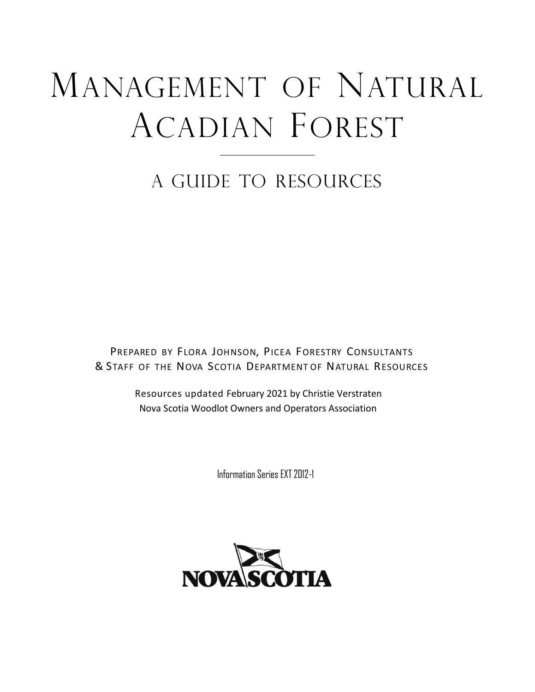# MANAGEMENT OF NATURAL ACADIAN FOREST

## A GUIDE TO RESOURCES

PREPARED BY FLORA JOHNSON, PICEA FORESTRY CONSULTANTS & STAFF OF THE NOVA SCOTIA DEPARTMENT OF NATURAL RESOURCES

> Resources updated February 2021 by Christie Verstraten Nova Scotia Woodlot Owners and Operators Association

> > Information Series EXT2012-1

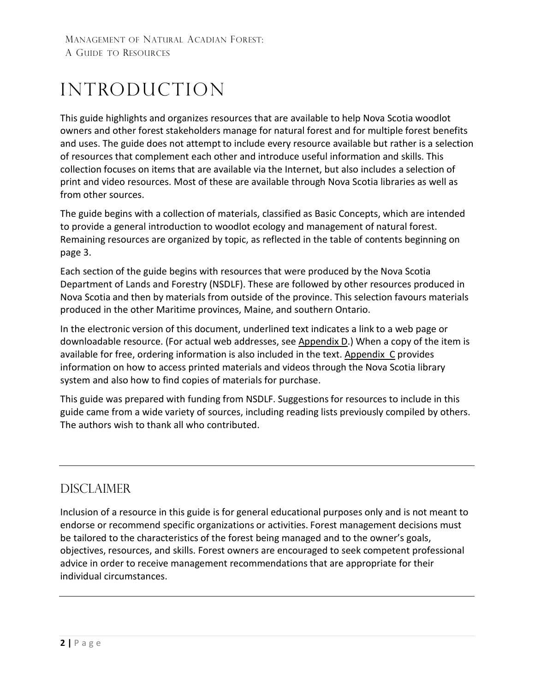## **INTRODUCTION**

This guide highlights and organizes resources that are available to help Nova Scotia woodlot owners and other forest stakeholders manage for natural forest and for multiple forest benefits and uses. The guide does not attempt to include every resource available but rather is a selection of resources that complement each other and introduce useful information and skills. This collection focuses on items that are available via the Internet, but also includes a selection of print and video resources. Most of these are available through Nova Scotia libraries as well as from other sources.

The guide begins with a collection of materials, classified as Basic Concepts, which are intended to provide a general introduction to woodlot ecology and management of natural forest. Remaining resources are organized by topic, as reflected in the table of contents beginning on page 3.

Each section of the guide begins with resources that were produced by the Nova Scotia Department of Lands and Forestry (NSDLF). These are followed by other resources produced in Nova Scotia and then by materials from outside of the province. This selection favours materials produced in the other Maritime provinces, Maine, and southern Ontario.

In the electronic version of this document, underlined text indicates a link to a web page or downloadable resource. (For actual web addresses, see [Appendix D.](#page-31-0)) When a copy of the item is available for free, ordering information is also included in the text. [Appendix](#page-30-0) C provides information on how to access printed materials and videos through the Nova Scotia library system and also how to find copies of materials for purchase.

This guide was prepared with funding from NSDLF. Suggestionsfor resources to include in this guide came from a wide variety of sources, including reading lists previously compiled by others. The authors wish to thank all who contributed.

### Disclaimer

Inclusion of a resource in this guide is for general educational purposes only and is not meant to endorse or recommend specific organizations or activities. Forest management decisions must be tailored to the characteristics of the forest being managed and to the owner's goals, objectives, resources, and skills. Forest owners are encouraged to seek competent professional advice in order to receive management recommendations that are appropriate for their individual circumstances.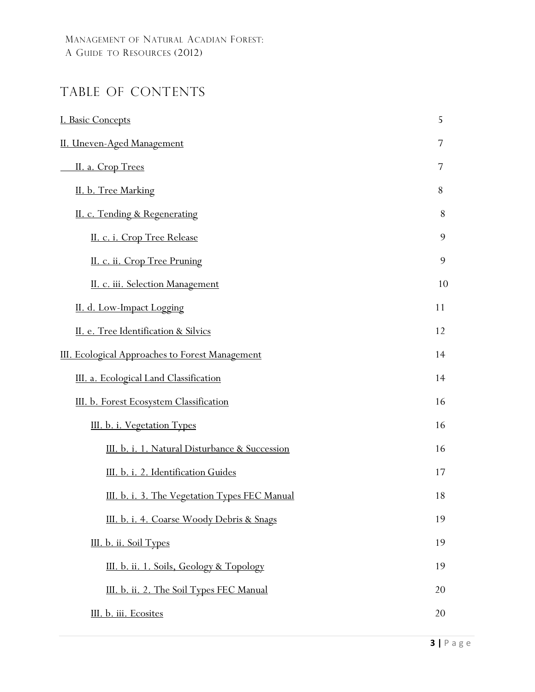## TABLE OF CONTENTS

| I. Basic Concepts                                      | 5  |
|--------------------------------------------------------|----|
| II. Uneven-Aged Management                             | 7  |
| II. a. Crop Trees                                      | 7  |
| II. b. Tree Marking                                    | 8  |
| II. c. Tending & Regenerating                          | 8  |
| II. c. i. Crop Tree Release                            | 9  |
| II. c. ii. Crop Tree Pruning                           | 9  |
| II. c. iii. Selection Management                       | 10 |
| II. d. Low-Impact Logging                              | 11 |
| II. e. Tree Identification & Silvics                   | 12 |
| <b>III.</b> Ecological Approaches to Forest Management | 14 |
| III. a. Ecological Land Classification                 | 14 |
| III. b. Forest Ecosystem Classification                | 16 |
| III. b. i. Vegetation Types                            | 16 |
| III. b. i. 1. Natural Disturbance & Succession         | 16 |
| III. b. i. 2. Identification Guides                    | 17 |
| III. b. i. 3. The Vegetation Types FEC Manual          | 18 |
| III. b. i. 4. Coarse Woody Debris & Snags              | 19 |
| III. b. ii. Soil Types                                 | 19 |
| III. b. ii. 1. Soils, Geology & Topology               | 19 |
| III. b. ii. 2. The Soil Types FEC Manual               | 20 |
| III. b. iii. Ecosites                                  | 20 |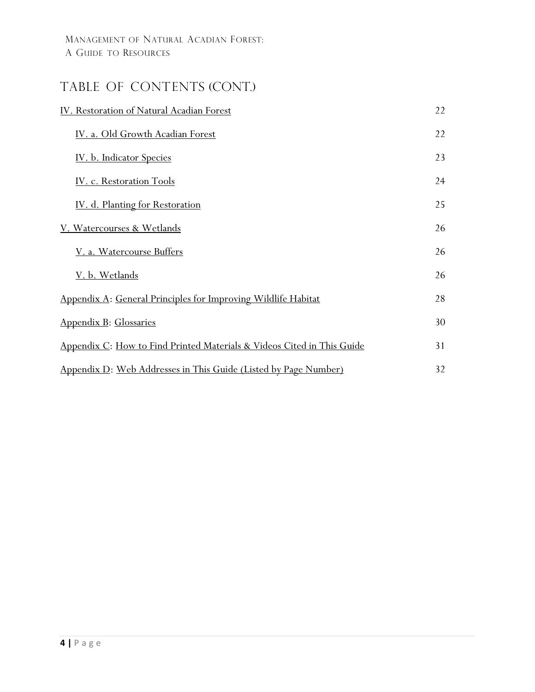## TABLE OF CONTENTS (CONT.)

| IV. Restoration of Natural Acadian Forest                               | 22 |
|-------------------------------------------------------------------------|----|
| IV. a. Old Growth Acadian Forest                                        | 22 |
| <u>IV. b. Indicator Species</u>                                         | 23 |
| IV. c. Restoration Tools                                                | 24 |
| IV. d. Planting for Restoration                                         | 25 |
| V. Watercourses & Wetlands                                              | 26 |
| V. a. Watercourse Buffers                                               | 26 |
| <u>V. b. Wetlands</u>                                                   | 26 |
| Appendix A: General Principles for Improving Wildlife Habitat           | 28 |
| Appendix B: Glossaries                                                  | 30 |
| Appendix C: How to Find Printed Materials & Videos Cited in This Guide  | 31 |
| <u> Appendix D: Web Addresses in This Guide (Listed by Page Number)</u> | 32 |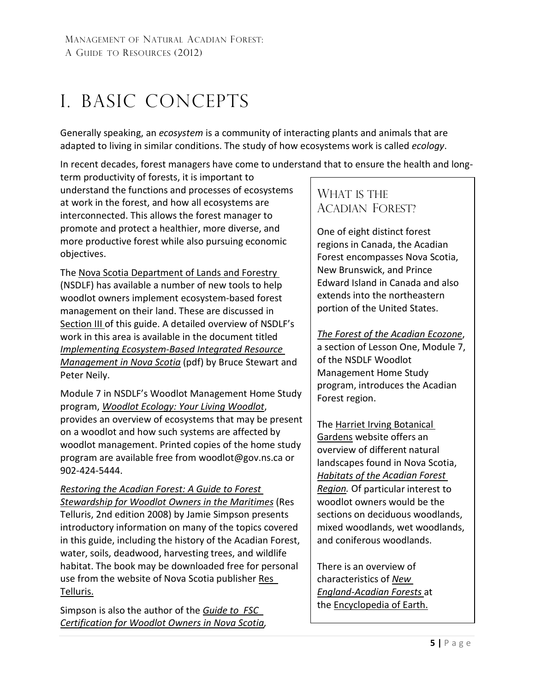## <span id="page-4-0"></span>I. BASIC CONCEPTS

Generally speaking, an *ecosystem* is a community of interacting plants and animals that are adapted to living in similar conditions. The study of how ecosystems work is called *ecology*.

In recent decades, forest managers have come to understand that to ensure the health and long-

term productivity of forests, it is important to understand the functions and processes of ecosystems at work in the forest, and how all ecosystems are interconnected. This allows the forest manager to promote and protect a healthier, more diverse, and more productive forest while also pursuing economic objectives.

The [Nova Scotia Department of Lands and Forestry](https://novascotia.ca/natr/) (NSDLF) has available a number of new tools to help woodlot owners implement ecosystem-based forest management on their land. These are discussed in [Section III](#page-13-0) of this guide. A detailed overview of NSDLF's work in this area is available in the document titled *Implementing [Ecosystem-Based Integrated Resource](https://novascotia.ca/natr/forestry/reports/Systematic-Approach.pdf)  [Management](https://novascotia.ca/natr/forestry/reports/Systematic-Approach.pdf) in Nova Scotia* (pdf) by Bruce Stewart and Peter Neily.

Module 7 in NSDLF's Woodlot Management Home Study program, *[Woodlot Ecology: Your](https://woodlot.novascotia.ca/content/module-7-woodlot-ecology-your-living-woodlot) Living Woodlot*, provides an overview of ecosystems that may be present on a woodlot and how such systems are affected by woodlot management. Printed copies of the home study program are available free from [woodlot@gov.ns.ca](mailto:woodlot@gov.ns.ca) or 902-424-5444.

*[Restoring the Acadian Forest:](http://www.bondrup.com/uploads/6/7/6/5/6765532/1-30.pdf) A Guide to Forest [Stewardship for Woodlot Owners in the Maritimes](http://www.bondrup.com/uploads/6/7/6/5/6765532/1-30.pdf)* (Res Telluris, 2nd edition 2008) by Jamie Simpson presents introductory information on many of the topics covered in this guide, including the history of the Acadian Forest, water, soils, deadwood, harvesting trees, and wildlife habitat. The book may be downloaded free for personal use from the website of Nova Scotia publisher [Res](http://www.bondrup.com/res-telluris.html) [Telluris.](http://www.bondrup.com/res-telluris.html)

Simpson is also the author of the *[Guide to](http://www.merseytobeatic.ca/userfiles/file/projects/Forest/FSC_Guide_web.pdf) FSC [Certification](http://www.merseytobeatic.ca/userfiles/file/projects/Forest/FSC_Guide_web.pdf) for [Woodlot Owners](http://www.merseytobeatic.ca/userfiles/file/projects/Forest/FSC_Guide_web.pdf) in Nova Scotia,* 

### WHAT IS THE ACADIAN FOREST?

One of eight distinct forest regions in Canada, the Acadian Forest encompasses Nova Scotia, New Brunswick, and Prince Edward Island in Canada and also extends into the northeastern portion of the United States.

*The Forest of the [Acadian Ecozone](https://woodlot.novascotia.ca/content/lesson-one-introduction-life-your-woodlot)*,

a section of Lesson One, Module 7, of the NSDLF Woodlot Management Home Study program, introduces the Acadian Forest region.

The [Harriet Irving](http://botanicalgardens.acadiau.ca/) Botanical [Gardens](http://botanicalgardens.acadiau.ca/) website offers an overview of different natural landscapes found in Nova Scotia, *Habitats of [the Acadian Forest](https://kcirvingcentre.acadiau.ca/harriet-irving-botanical-gardens/garden-habitats/)  [Region.](https://kcirvingcentre.acadiau.ca/harriet-irving-botanical-gardens/garden-habitats/)* Of particular interest to woodlot owners would be the sections on deciduous woodlands, mixed woodlands, wet woodlands, and coniferous woodlands.

There is an overview of characteristics of *[New](https://editors.eol.org/eoearth/wiki/New_England-Acadian_forests)  [England-Acadian Forests](https://editors.eol.org/eoearth/wiki/New_England-Acadian_forests)* a[t](http://www.eoearth.org/) the **Encyclopedia of Earth.**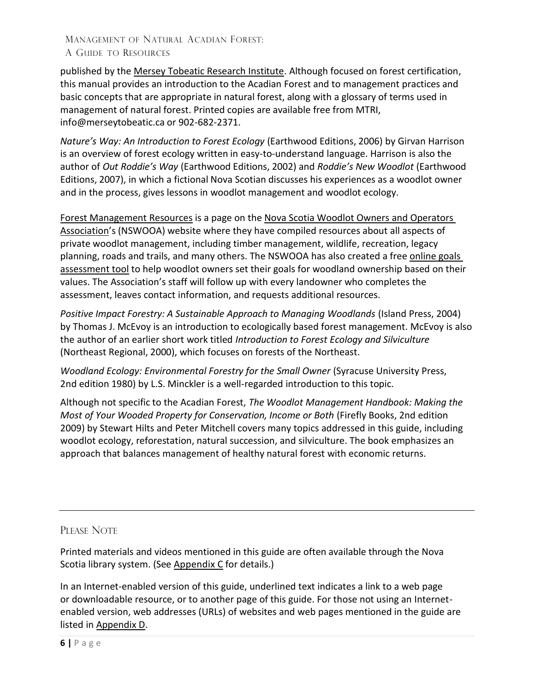published by the Mersey [Tobeatic Research](http://www.merseytobeatic.ca/) Institute. Although focused on forest certification, this manual provides an introduction to the Acadian Forest and to management practices and basic concepts that are appropriate in natural forest, along with a glossary of terms used in management of natural forest. Printed copies are available free from MTRI[,](mailto:info@merseytobeatic.ca) [info@merseytobeatic.ca](mailto:info@merseytobeatic.ca) or 902-682-2371.

*Nature's Way: An Introduction to Forest Ecology* (Earthwood Editions, 2006) by Girvan Harrison is an overview of forest ecology written in easy-to-understand language. Harrison is also the author of *Out Roddie's Way* (Earthwood Editions, 2002) and *Roddie's New Woodlot* (Earthwood Editions, 2007), in which a fictional Nova Scotian discusses his experiences as a woodlot owner and in the process, gives lessons in woodlot management and woodlot ecology.

Forest [Management Resources](https://www.nswooa.ca/forest-management-resources.html) is a page on the [Nova Scotia Woodlot Owners and Operators](http://nswooa.ca/)  [Association'](http://nswooa.ca/)s (NSWOOA) website where they have compiled resources about all aspects of private woodlot management, including timber management, wildlife, recreation, legacy planning, roads and trails, and many others. The NSWOOA has also created a free [online goals](https://www.nswooa.ca/what-are-your-goals.html)  [assessment tool](https://www.nswooa.ca/what-are-your-goals.html) to help woodlot owners set their goals for woodland ownership based on their values. The Association's staff will follow up with every landowner who completes the assessment, leaves contact information, and requests additional resources.

*Positive Impact Forestry: A Sustainable Approach to Managing Woodlands* (Island Press, 2004) by Thomas J. McEvoy is an introduction to ecologically based forest management. McEvoy is also the author of an earlier short work titled *Introduction to Forest Ecology and Silviculture*  (Northeast Regional, 2000), which focuses on forests of the Northeast.

*Woodland Ecology: Environmental Forestry for the Small Owner* (Syracuse University Press, 2nd edition 1980) by L.S. Minckler is a well-regarded introduction to this topic.

Although not specific to the Acadian Forest, *The Woodlot Management Handbook: Making the Most of Your Wooded Property for Conservation, Income or Both* (Firefly Books, 2nd edition 2009) by Stewart Hilts and Peter Mitchell covers many topics addressed in this guide, including woodlot ecology, reforestation, natural succession, and silviculture. The book emphasizes an approach that balances management of healthy natural forest with economic returns.

### PLEASE NOTE

Printed materials and videos mentioned in this guide are often available through the Nova Scotia library system. (See [Appendix](#page-30-0) C for details.)

In an Internet-enabled version of this guide, underlined text indicates a link to a web page or downloadable resource, or to another page of this guide. For those not using an Internetenabled version, web addresses (URLs) of websites and web pages mentioned in the guide are listed in [Appendix](#page-31-0) D.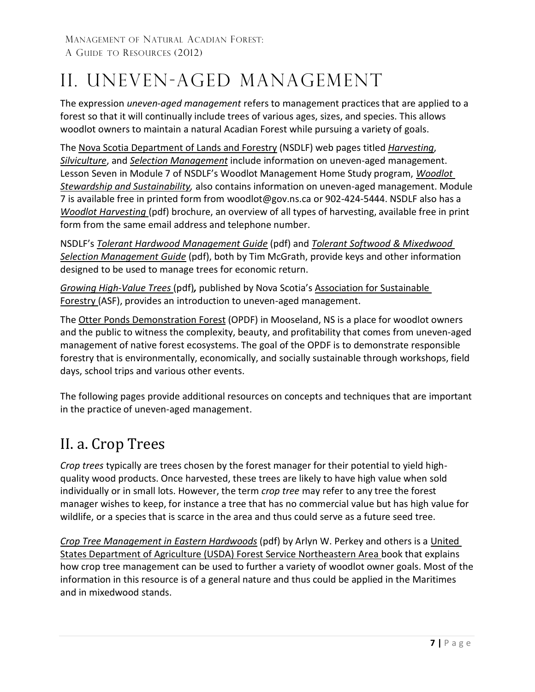## <span id="page-6-0"></span>II. UNEVEN-AGED MANAGEMENT

The expression *uneven-aged management* refers to management practices that are applied to a forest so that it will continually include trees of various ages, sizes, and species. This allows woodlot owners to maintain a natural Acadian Forest while pursuing a variety of goals.

The [Nova Scotia Department of Lands and Forestry](https://novascotia.ca/natr/) (NSDLF) web pages titled *[Harvesting](https://novascotia.ca/natr/forestry/programs/timberman/harvesting.asp)*, *[Silviculture](https://novascotia.ca/natr/forestry/programs/timberman/silviculture.asp)*, and *Selection [Management](https://novascotia.ca/natr/forestry/programs/timberman/selection.asp)* include information on uneven-aged management. Lesson Seven in Module 7 of NSDLF's Woodlot Management Home Study program, *[Woodlot](https://woodlot.novascotia.ca/content/lesson-seven-woodlot-stewardship-and-sustainability) [Stewardship and Sustainability,](https://woodlot.novascotia.ca/content/lesson-seven-woodlot-stewardship-and-sustainability)* also contains information on uneven-aged management. Module 7 is available free in printed form from [woodlot@gov.ns.ca](mailto:forestry@gov.ns.ca) or 902-424-5444. NSDLF also has a *[Woodlot Harvesting](https://novascotia.ca/natr/woodlot/pdf/WoodlotHarvesting.pdf)* (pdf) brochure, an overview of all types of harvesting, available free in print form from the same email address and telephone number.

NSDLF's *Tolerant Hardwood [Management Guide](https://novascotia.ca/natr/library/forestry/reports/Report84.pdf)* (pdf) and *[Tolerant Softwood](https://novascotia.ca/natr/library/forestry/reports/Report91.pdf) & Mixedwood [Selection Management Guide](https://novascotia.ca/natr/library/forestry/reports/Report91.pdf)* (pdf), both by Tim McGrath, provide keys and other information designed to be used to manage trees for economic return.

*[Growing High-Value Trees](https://www.nswooa.ca/uploads/5/9/6/9/59690537/asf-growing-high-value-trees.pdf)* (pdf)*,* published by Nova Scotia's Association for [Sustainable](http://www.asforestry.com/) [Forestry \(](http://www.asforestry.com/)ASF), provides an introduction to uneven-aged management.

The [Otter Ponds Demonstration Forest](https://www.otterponds.ca/) (OPDF) in Mooseland, NS is a place for woodlot owners and the public to witness the complexity, beauty, and profitability that comes from uneven-aged management of native forest ecosystems. The goal of the OPDF is to demonstrate responsible forestry that is environmentally, economically, and socially sustainable through workshops, field days, school trips and various other events.

The following pages provide additional resources on concepts and techniques that are important in the practice of uneven-aged management.

## <span id="page-6-1"></span>II. a. Crop Trees

*Crop trees* typically are trees chosen by the forest manager for their potential to yield highquality wood products. Once harvested, these trees are likely to have high value when sold individually or in small lots. However, the term *crop tree* may refer to any tree the forest manager wishes to keep, for instance a tree that has no commercial value but has high value for wildlife, or a species that is scarce in the area and thus could serve as a future seed tree.

*Crop [Tree Management](http://www.forestenterprise.org/resources/Forestry/Crop%20Tree%20Management%20in%20Eastern%20Hardwoods.pdf) in Eastern Hardwoods* (pdf) by Arlyn W. Perkey and others is a [United](http://www.na.fs.fed.us/) States Department of Agriculture (USDA) Forest [Service Northeastern](http://www.na.fs.fed.us/) Area book that explains how crop tree management can be used to further a variety of woodlot owner goals. Most of the information in this resource is of a general nature and thus could be applied in the Maritimes and in mixedwood stands.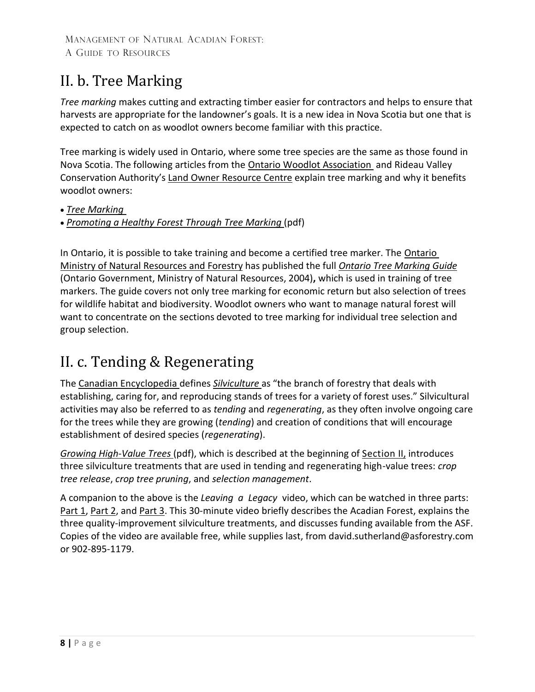## <span id="page-7-0"></span>II. b. Tree Marking

*Tree marking* makes cutting and extracting timber easier for contractors and helps to ensure that harvests are appropriate for the landowner's goals. It is a new idea in Nova Scotia but one that is expected to catch on as woodlot owners become familiar with this practice.

Tree marking is widely used in Ontario, where some tree species are the same as those found in Nova Scotia. The following articles from the [Ontario Woodlot Association](http://www.ontariowoodlot.com/) and Rideau Valley Conservation Authority's Land Owner [Resource](http://www.lrconline.com/) Centre explain tree marking and why it benefits woodlot owners:

• *[Tree Marking](http://www.ontariowoodlot.com/forest-management/forest-management/tree-marking)*

• *[Promoting a Healthy Forest](http://www.lrconline.com/Extension_Notes_English/pdf/tree_marking.pdf) Through Tree Marking* (pdf)

In Ontario, it is possible to take training and become a certified tree marker. The Ontario [Ministry of Natural Resources and Forestry](https://www.ontario.ca/page/ministry-natural-resources-and-forestry) has published the full *Ontario Tree [Marking](https://dr6j45jk9xcmk.cloudfront.net/documents/2807/guide-treemarking.pdf) Guide* (Ontario Government, Ministry of Natural Resources, 2004)**,** which is used in training of tree markers. The guide covers not only tree marking for economic return but also selection of trees for wildlife habitat and biodiversity. Woodlot owners who want to manage natural forest will want to concentrate on the sections devoted to tree marking for individual tree selection and group selection.

## <span id="page-7-1"></span>II. c. Tending & Regenerating

The [Canadian Encyclopedia](https://www.thecanadianencyclopedia.ca/en) defines *[Silviculture](https://www.thecanadianencyclopedia.ca/en/article/silviculture)* as "the branch of forestry that deals with establishing, caring for, and reproducing stands of trees for a variety of forest uses." Silvicultural activities may also be referred to as *tending* and *regenerating*, as they often involve ongoing care for the trees while they are growing (*tending*) and creation of conditions that will encourage establishment of desired species (*regenerating*).

*[Growing High-Value Trees](https://www.nswooa.ca/uploads/5/9/6/9/59690537/asf-growing-high-value-trees.pdf)* (pdf), which is described at the beginning of [Section](#page-6-0) II, introduces three silviculture treatments that are used in tending and regenerating high-value trees: *crop tree release*, *crop tree pruning*, and *selection management*.

A companion to the above is the *Leaving a Legacy* video, which can be watched in three parts: [Part 1,](https://www.youtube.com/watch?v=94ZaHFGsq-o) [Part 2,](https://www.youtube.com/watch?v=OVSZM3-OkEw) and [Part 3.](https://www.youtube.com/watch?v=jenY6aRyvxQ) This 30-minute video briefly describes the Acadian Forest, explains the three quality-improvement silviculture treatments, and discusses funding available from the ASF. Copies of the video are available free, while supplies last, from [david.sutherland@asforestry.com](mailto:david.sutherland@asforestry.com) or 902-895-1179.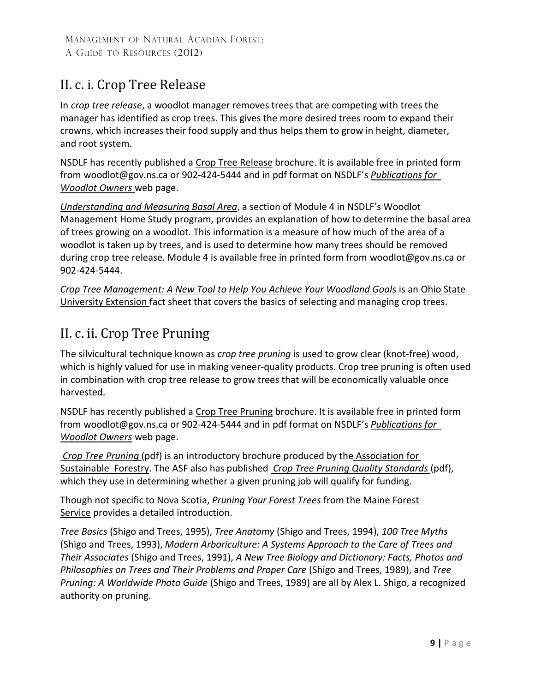## <span id="page-8-0"></span>II. c. i. Crop Tree Release

In *crop tree release*, a woodlot manager removes trees that are competing with trees the manager has identified as crop trees. This gives the more desired trees room to expand their crowns, which increases their food supply and thus helps them to grow in height, diameter, and root system.

NSDLF has recently published a [Crop Tree Release](https://www.novascotia.ca/natr/woodlot/pdf/croptree.pdf) brochure. It is available free in printed form from [woodlot@gov.ns.ca](mailto:forestry@gov.ns.ca) or 902-424-5444 and in pdf format on NSDLF's *[Publications for](https://novascotia.ca/natr/woodlot/publications.asp) [Woodlot Owners](https://novascotia.ca/natr/woodlot/publications.asp)* web page.

*[Understanding and](https://woodlot.novascotia.ca/content/understanding-and-measuring-basal-area) Measuring Basal Area*, a section of Module 4 in NSDLF's Woodlot Management Home Study program, provides an explanation of how to determine the basal area of trees growing on a woodlot. This information is a measure of how much of the area of a woodlot is taken up by trees, and is used to determine how many trees should be removed during crop tree release. Module 4 is available free in printed form from [woodlot@gov.ns.ca](mailto:forestry@gov.ns.ca) or 902-424-5444.

*Crop [Tree Management:](http://ohioline.osu.edu/for-fact/0050.html) A New Tool to Help You Achieve Your Woodland Goals* is an [Ohio](http://ohioline.osu.edu/) [State](http://ohioline.osu.edu/) [University Extension f](http://ohioline.osu.edu/)act sheet that covers the basics of selecting and managing crop trees.

## <span id="page-8-1"></span>II. c. ii. Crop Tree Pruning

The silvicultural technique known as *crop tree pruning* is used to grow clear (knot-free) wood, which is highly valued for use in making veneer-quality products. Crop tree pruning is often used in combination with crop tree release to grow trees that will be economically valuable once harvested.

NSDLF has recently published a [Crop Tree Pruning](https://www.novascotia.ca/natr/woodlot/pdf/treepruning.pdf) brochure. It is available free in printed form from [woodlot@gov.ns.ca](mailto:forestry@gov.ns.ca) or 902-424-5444 and in pdf format on NSDLF's *[Publications for](https://novascotia.ca/natr/woodlot/publications.asp) [Woodlot Owners](https://novascotia.ca/natr/woodlot/publications.asp)* web page.

*[Crop Tree Pruning](http://www.asforestry.com/wp-content/uploads/2015/07/Crop-Tree-Pruning-Brochure.pdf)* (pdf) is an introductory brochure produced by the [Association for](http://www.asforestry.com/) [Sustainable](http://www.asforestry.com/) Forestry. The ASF also has published *Crop Tree Pruning [Quality Standards](http://www.asforestry.com/wp-content/uploads/2015/07/CropTreePruningStan.pdf)* (pdf), which they use in determining whether a given pruning job will qualify for funding.

Though not specific to Nova Scotia, *Pruning Your [Forest Trees](http://www.maine.gov/tools/whatsnew/attach.php?id=392581&an=1)* from the [Maine](https://www.maine.gov/dacf/mfs/index.shtml) Forest [Service](http://www.maine.gov/doc/mfs/index.shtml) provides a detailed introduction.

*Tree Basics* (Shigo and Trees, 1995), *Tree Anatomy* (Shigo and Trees, 1994), *100 Tree Myths*  (Shigo and Trees, 1993), *Modern Arboriculture: A Systems Approach to the Care of Trees and Their Associates* (Shigo and Trees, 1991), *A New Tree Biology and Dictionary: Facts, Photos and Philosophies on Trees and Their Problems and Proper Care* (Shigo and Trees, 1989), and *Tree Pruning: A Worldwide Photo Guide* (Shigo and Trees, 1989) are all by Alex L. Shigo, a recognized authority on pruning.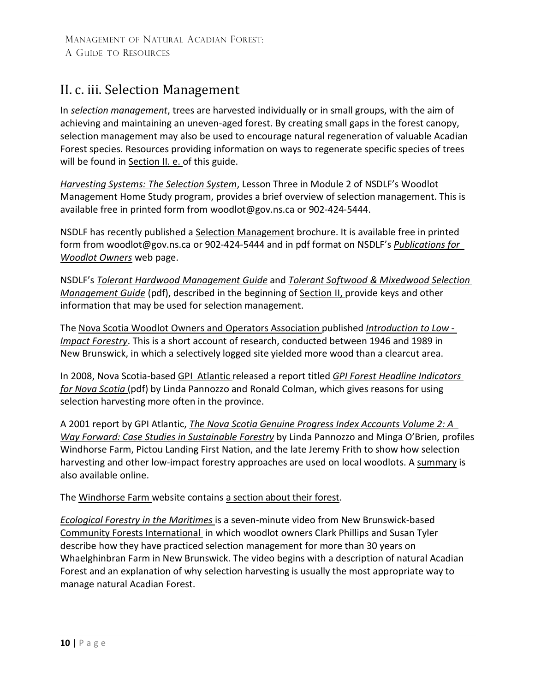## <span id="page-9-0"></span>II. c. iii. Selection Management

In *selection management*, trees are harvested individually or in small groups, with the aim of achieving and maintaining an uneven-aged forest. By creating small gaps in the forest canopy, selection management may also be used to encourage natural regeneration of valuable Acadian Forest species. Resources providing information on ways to regenerate specific species of trees will be found in [Section II.](#page-11-0) e. of this guide.

*[Harvesting Systems:](https://woodlot.novascotia.ca/content/lesson-three-selection-system) The Selection System*, Lesson Three [in Module](http://www.gov.ns.ca/natr/Education/woodlot/modules/module2/less3.asp) 2 of NSDLF's Woodlot Management Home Study program, provides a brief overview of selection management. This is available free in printed form from [woodlot@gov.ns.ca](mailto:forestry@gov.ns.ca) or 902-424-5444.

NSDLF has recently published a [Selection Management](https://www.novascotia.ca/natr/woodlot/pdf/selectionmanagement.pdf) brochure. It is available free in printed form from [woodlot@gov.ns.ca](mailto:forestry@gov.ns.ca) or 902-424-5444 and in pdf format on NSDLF's *[Publications for](https://novascotia.ca/natr/woodlot/publications.asp) [Woodlot Owners](https://novascotia.ca/natr/woodlot/publications.asp)* web page.

NSDLF's *Tolerant Hardwood [Management Guide](https://novascotia.ca/natr/library/forestry/reports/Report84.pdf)* and *[Tolerant Softwood](https://novascotia.ca/natr/library/forestry/reports/Report91.pdf) & Mixedwood Selection [Management Guide](https://novascotia.ca/natr/library/forestry/reports/Report91.pdf)* (pdf), described in the beginning of [Section](#page-6-0) II, provide keys and other information that may be used for selection management.

The [Nova Scotia Woodlot](http://www.nswooa.ca/) Owners and Operators Association published *[Introduction to](http://nswooa.blogspot.ca/2007/07/introduction-to-low-impact-forestry.html) Low [-](http://nswooa.blogspot.ca/2007/07/introduction-to-low-impact-forestry.html) [Impact Forestry](http://nswooa.blogspot.ca/2007/07/introduction-to-low-impact-forestry.html)*. This is a short account of research, conducted between 1946 and 1989 in New Brunswick, in which a selectively logged site yielded more wood than a clearcut area.

In 2008, Nova Scotia-based GPI [Atlantic r](http://www.gpiatlantic.org/)eleased a report titled *GPI Forest [Headline Indicators](http://www.gpiatlantic.org/pdf/forest/forestupdate.pdf)  for [Nova Scotia](http://www.gpiatlantic.org/pdf/forest/forestupdate.pdf)* (pdf) by Linda Pannozzo and Ronald Colman, which gives reasons for using selection harvesting more often in the province.

A 2001 report by GPI Atlantic, *The Nova Scotia Genuine Progress Index [Accounts](http://www.gpiatlantic.org/pdf/forest/forest2.pdf) Volume 2: A Way Forward: Case Studies in [Sustainable](http://www.gpiatlantic.org/pdf/forest/forest2.pdf) Forestry* by Linda Pannozzo and Minga O'Brien*,* profiles Windhorse Farm, Pictou Landing First Nation, and the late Jeremy Frith to show how selection harvesting and other low-impact forestry approaches are used on local woodlots. A [summary](http://www.gpiatlantic.org/publications/abstracts/forest-ab2.htm) is also available online.

The [Windhorse](http://www.windhorsefarm.org/) Farm website contains [a section about their forest.](http://www.windhorsefarm.org/forest.html)

*[Ecological Forestry](http://vimeo.com/19094537) in the Maritimes* is a seven-minute video from New Brunswick-based [Community Forests International i](http://forestsinternational.org/)n which woodlot owners Clark Phillips and Susan Tyler describe how they have practiced selection management for more than 30 years on Whaelghinbran Farm in New Brunswick. The video begins with a description of natural Acadian Forest and an explanation of why selection harvesting is usually the most appropriate way to manage natural Acadian Forest.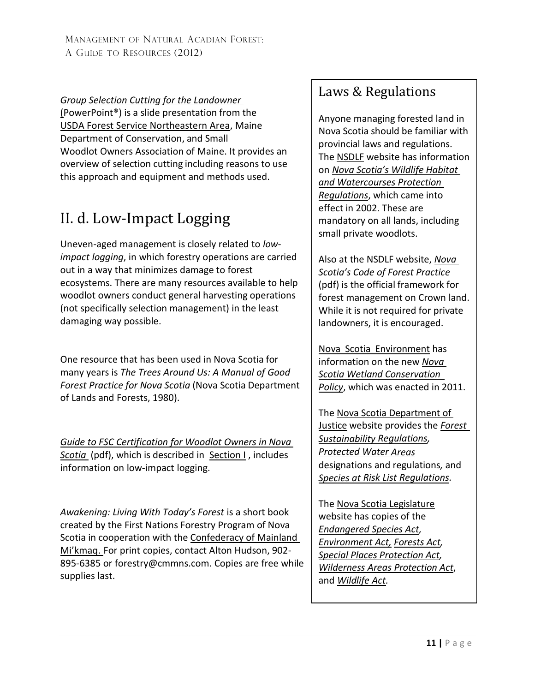*[Group Selection Cutting](https://www.slideserve.com/brilliant/group-selection-cutting-for-the-landowner-education-is-the-key) for the Landowner* [\(P](https://www.slideserve.com/brilliant/group-selection-cutting-for-the-landowner-education-is-the-key)owerPoint®) is a slide presentation from the USDA Forest Service [Northeastern](http://www.na.fs.fed.us/) Area, Maine Department of Conservation, and Small Woodlot Owners Association of Maine. It provides an overview of selection cutting including reasons to use this approach and equipment and methods used.

## <span id="page-10-0"></span>II. d. Low-Impact Logging

Uneven-aged management is closely related to *lowimpact logging*, in which forestry operations are carried out in a way that minimizes damage to forest ecosystems. There are many resources available to help woodlot owners conduct general harvesting operations (not specifically selection management) in the least damaging way possible.

One resource that has been used in Nova Scotia for many years is *The Trees Around Us: A Manual of Good Forest Practice for Nova Scotia* (Nova Scotia Department of Lands and Forests, 1980).

*Guide to FSC [Certification](http://www.merseytobeatic.ca/userfiles/file/projects/Forest/FSC_Guide_web.pdf) for Woodlot Owners in Nova [Scotia](http://www.merseytobeatic.ca/userfiles/file/projects/Forest/FSC_Guide_web.pdf)* (pdf), which is described in [Section](#page-4-0) I , includes information on low-impact logging.

*Awakening: Living With Today's Forest* is a short book created by the First Nations Forestry Program of Nova Scotia in cooperation with th[e Confederacy](http://cmmns.com/) of Mainland [Mi'kmaq.](http://cmmns.com/) For print copies, contact Alton Hudson, 902- 895-6385 or [forestry@cmmns.co](mailto:forestry@cmmns.com)m. Copies are free while supplies last.

## Laws & Regulations

Anyone managing forested land in Nova Scotia should be familiar with provincial laws and regulations. The [NSDLF](https://novascotia.ca/natr/) website has information on *[Nova Scotia's Wildlife](https://www.novascotia.ca/JUST/REGULATIONS/regs/fowhwp.htm) Habitat [and Watercourses Protection](https://www.novascotia.ca/JUST/REGULATIONS/regs/fowhwp.htm)  [Regulations](https://www.novascotia.ca/JUST/REGULATIONS/regs/fowhwp.htm)*, which came into effect in 2002. These are mandatory on all lands, including small private woodlots.

Also at the NSDLF website, *[Nova](https://novascotia.ca/natr/forestry/reports/Code-of-Forest-Practice-2008.pdf)  Scotia's Code [of Forest](https://novascotia.ca/natr/forestry/reports/Code-of-Forest-Practice-2008.pdf) Practice* (pdf) is the official framework for forest management on Crown land. While it is not required for private landowners, it is encouraged.

Nova Scotia [Environment](https://novascotia.ca/nse/) has information on the new *[Nova](https://novascotia.ca/nse/wetland/conservation.policy.asp)  Scotia [Wetland Conservation](https://novascotia.ca/nse/wetland/conservation.policy.asp) [Policy](https://novascotia.ca/nse/wetland/conservation.policy.asp)*, which was enacted in 2011.

The [Nova Scotia](https://novascotia.ca/just/) Department of [Justice](https://novascotia.ca/just/) website provides the *[Forest](https://www.novascotia.ca/JUST/REGULATIONS/regs/fosust.htm) [Sustainability](https://www.novascotia.ca/JUST/REGULATIONS/regs/fosust.htm) Regulations, [Protected Water](https://novascotia.ca/nse/water/protectedwaterarea.asp) Areas* designations and regulations*,* and *[Species at Risk List Regulations.](https://novascotia.ca/just/regulations/regs/eslist.htm)*

The [Nova Scotia Legislature](http://nslegislature.ca/) website has copies of the *[Endangered](http://nslegislature.ca/legc/statutes/endspec.htm) Species Act, [Environment](http://nslegislature.ca/legc/statutes/environment.pdf) Act, [Forests Act,](http://nslegislature.ca/legc/statutes/forests.htm) Special Places [Protection](http://nslegislature.ca/legc/statutes/specplac.htm) Act, [Wilderness Areas](https://nslegislature.ca/legc/bills/57th_1st/1st_read/b024.htm) Protection Act*, and *[Wildlife Act.](http://nslegislature.ca/legc/statutes/wildlife.pdf)*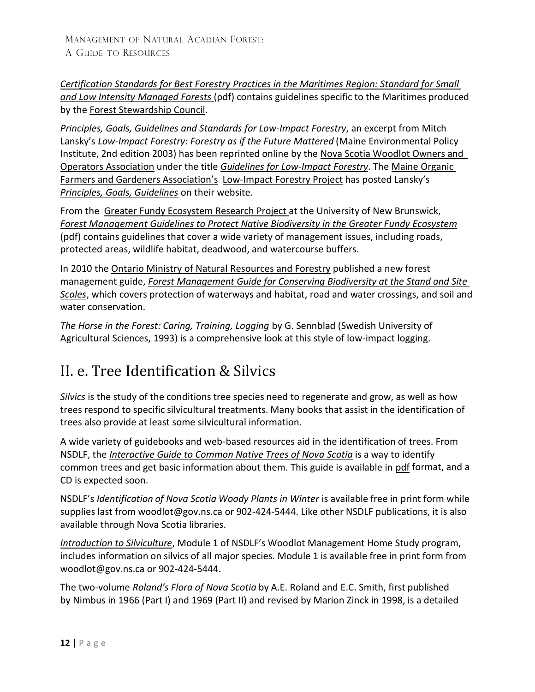*[Certification Standards for](https://ca.fsc.org/small-low-intensity-forests.206.htm) Best Forestry Practices in the [Maritimes Region:](https://ca.fsc.org/small-low-intensity-forests.206.htm) Standard for Small and Low [Intensity](https://ca.fsc.org/small-low-intensity-forests.206.htm) [Managed Forests](https://ca.fsc.org/small-low-intensity-forests.206.htm)* (pdf) contains guidelines specific to the Maritimes produced by the Forest [Stewardship](https://ca.fsc.org/en-ca) Council.

*Principles, Goals, Guidelines and Standards for Low-Impact Forestry*, an excerpt from Mitch Lansky's *[Low-Impact](http://lowimpactforestry.org/) Forestry: Forestry as if the Future [Mattered](http://lowimpactforestry.org/)* (Maine Environmental Policy Institute, 2nd edition 2003) has been reprinted online by the Nova Scotia [Woodlot Owners and](http://www.nswooa.ca/) Operators [Association](http://www.nswooa.ca/) under the title *[Guidelines for](http://nswooa.blogspot.ca/2007/07/guidelines-for-low-impact-forestry.html) Low-Impact [Forestry](http://nswooa.blogspot.ca/2007/07/guidelines-for-low-impact-forestry.html)*. The Maine [Organic](http://www.mofga.org/) Farmers and Gardeners [Association'](http://www.mofga.org/)s [Low-Impact](https://www.mofga.org/trainings/low-impact-forestry/) Forestry Project has posted Lansky's *[Principles, Goals, Guidelines](https://www.mofga.org/resources/forestry/low-impact-forestry/)* on their website.

From the Greater Fundy [Ecosystem](http://www2.unb.ca/fundy/) Research Project at the University of New Brunswick, *Forest Management Guidelines to Protect Native Biodiversity in [the Greater Fundy Ecosystem](http://www2.unb.ca/fundy/documents/GFE_Guidelines.pdf)* (pdf) contains guidelines that cover a wide variety of management issues, including roads, protected areas, wildlife habitat, deadwood, and watercourse buffers.

In 2010 the [Ontario Ministry of Natural Resources and Forestry](https://www.ontario.ca/page/ministry-natural-resources-and-forestry) published a new forest management guide, *Forest Management Guide for Conserving Biodiversity at the [Stand and Site](http://www.ontario.ca/environment-and-energy/forest-management-guide-conserving-biodiversity-stand-and-site-scales-stand-and-site-guide) [Scales](http://www.ontario.ca/environment-and-energy/forest-management-guide-conserving-biodiversity-stand-and-site-scales-stand-and-site-guide)*, which covers protection of waterways and habitat, road and water crossings, and soil and water conservation.

*The Horse in the Forest: Caring, Training, Logging* by G. Sennblad (Swedish University of Agricultural Sciences, 1993) is a comprehensive look at this style of low-impact logging.

## <span id="page-11-0"></span>II. e. Tree Identification & Silvics

*Silvics* is the study of the conditions tree species need to regenerate and grow, as well as how trees respond to specific silvicultural treatments. Many books that assist in the identification of trees also provide at least some silvicultural information.

A wide variety of guidebooks and web-based resources aid in the identification of trees. From NSDLF, [the](http://www.gov.ns.ca/natr/forestry/treeid/) *[Interactive](https://novascotia.ca/natr/forestry/treeid/) Guide to Common Native Trees of Nova Scotia* is a way to identify common trees and get basic information about them. This guide is available in [pdf](https://novascotia.ca/natr/forestry/treeid/Trees_Of_Acadian_Forest2.pdf) format, and a CD is expected soon.

NSDLF's *Identification of Nova Scotia Woody Plants in Winter* is available free in print form while supplies last from [woodlot@gov.ns.ca](mailto:forestry@gov.ns.ca) or 902-424-5444. Like other NSDLF publications, it is also available through Nova Scotia libraries.

*[Introduction to Silviculture](https://novascotia.ca/natr/Education/woodlot/modules/module1/)*, Module 1 of NSDLF's Woodlot Management Home Study program, includes information on silvics of all major species. Module 1 is available free in print form from woodlo[t@gov.ns.ca](mailto:forestry@gov.ns.ca) or 902-424-5444.

The two-volume *Roland's Flora of Nova Scotia* by A.E. Roland and E.C. Smith, first published by Nimbus in 1966 (Part I) and 1969 (Part II) and revised by Marion Zinck in 1998, is a detailed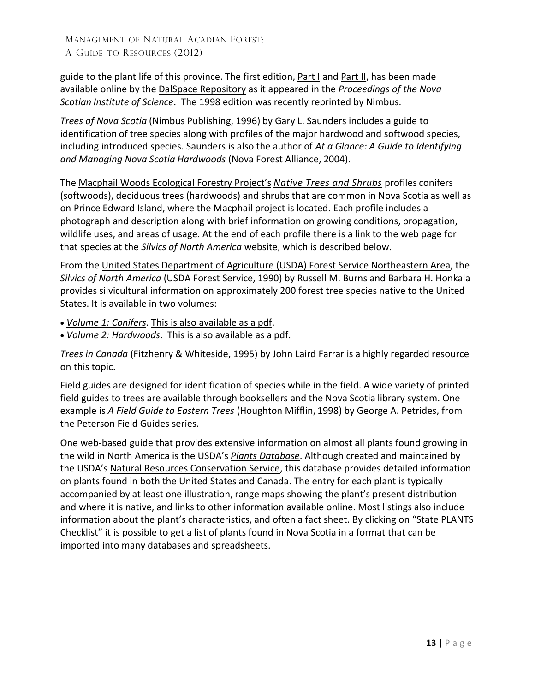guide to the plant life of this province. The first edition, [Part I](http://dalspace.library.dal.ca/handle/10222/13806) and [Part II,](http://dalspace.library.dal.ca/handle/10222/13815) has been made available online by the [DalSpace Repository](http://dalspace.library.dal.ca/) as it appeared in the *Proceedings of the Nova Scotian Institute of Science*. The 1998 edition was recently reprinted by Nimbus.

*Trees of Nova Scotia* (Nimbus Publishing, 1996) by Gary L. Saunders includes a guide to identification of tree species along with profiles of the major hardwood and softwood species, including introduced species. Saunders is also the author of *At a Glance: A Guide to Identifying and Managing Nova Scotia Hardwoods* (Nova Forest Alliance, 2004).

The Macphail Woods [Ecological](http://macphailwoods.org/) Forestry Project's *Native [Trees and Shrubs](https://macphailwoods.org/wp-content/uploads/2018/07/Native-Trees-Shrubs-Pub.pdf)* profiles conifers (softwoods), deciduous trees (hardwoods) and shrubs that are common in Nova Scotia as well as on Prince Edward Island, where the Macphail project is located. Each profile includes a photograph and description along with brief information on growing conditions, propagation, wildlife uses, and areas of usage. At the end of each profile there is a link to the web page for that species at the *Silvics of North America* website, which is described below.

From the United States Department of Agriculture (USDA) Forest Service [Northeastern Area,](http://www.na.fs.fed.us/) the *Silvics of North [America](https://www.srs.fs.usda.gov/pubs/misc/ag_654/table_of_contents.htm)* (USDA Forest Service, 1990) by Russell M. Burns and Barbara H. Honkala provides silvicultural information on approximately 200 forest tree species native to the United States. It is available in two volumes:

- *[Volume 1:](https://www.srs.fs.usda.gov/pubs/misc/ag_654/volume_1/vol1_table_of_contents.htm) Conifers*. This is also [available as](https://www.srs.fs.usda.gov/pubs/misc/ag_654/volume_1/silvics_vol1.pdf) a pdf.
- *Volume 2: [Hardwoods](https://www.srs.fs.usda.gov/pubs/misc/ag_654/volume_2/vol2_table_of_contents.htm)*. This is also [available as a](https://www.srs.fs.usda.gov/pubs/misc/ag_654/volume_2/silvics_v2.pdf) pdf.

*Trees in Canada* (Fitzhenry & Whiteside, 1995) by John Laird Farrar is a highly regarded resource on this topic.

Field guides are designed for identification of species while in the field. A wide variety of printed field guides to trees are available through booksellers and the Nova Scotia library system. One example is *A Field Guide to Eastern Trees* (Houghton Mifflin, 1998) by George A. Petrides, from the Peterson Field Guides series.

One web-based guide that provides extensive information on almost all plants found growing in the wild in North America is the USDA's *Plants [Database](http://plants.usda.gov/java/)*. Although created and maintained by the USDA's Natural Resources [Conservation Service,](http://www.nrcs.usda.gov/wps/portal/nrcs/main/national/home) this database provides detailed information on plants found in both the United States and Canada. The entry for each plant is typically accompanied by at least one illustration, range maps showing the plant's present distribution and where it is native, and links to other information available online. Most listings also include information about the plant's characteristics, and often a fact sheet. By clicking on "State PLANTS Checklist" it is possible to get a list of plants found in Nova Scotia in a format that can be imported into many databases and spreadsheets.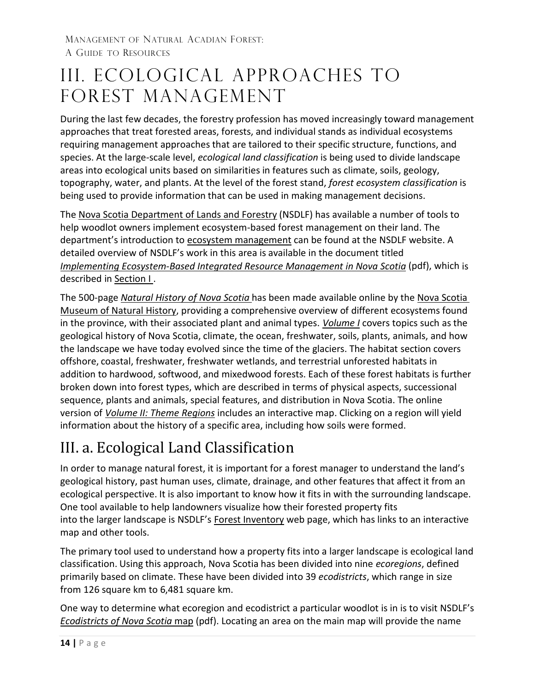## <span id="page-13-0"></span>III. Ecological Approaches to Forest Management

During the last few decades, the forestry profession has moved increasingly toward management approaches that treat forested areas, forests, and individual stands as individual ecosystems requiring management approaches that are tailored to their specific structure, functions, and species. At the large-scale level, *ecological land classification* is being used to divide landscape areas into ecological units based on similarities in features such as climate, soils, geology, topography, water, and plants. At the level of the forest stand, *forest ecosystem classification* is being used to provide information that can be used in making management decisions.

The [Nova Scotia Department of Lands and Forestry](https://novascotia.ca/natr/) (NSDLF) has available a number of tools to help woodlot owners implement ecosystem-based forest management on their land. The department's introduction to ecosystem [management](https://novascotia.ca/natr/forestry/programs/ecosystem-management.asp) can be found at the NSDLF website. A detailed overview of NSDLF's work in this area is available in the document titled *[Implementing Ecosystem-Based Integrated Resource Management in Nova Scotia](https://www.novascotia.ca/natr/forestry/reports/Systematic-Approach.pdf)* (pdf), which is described in [Section I](#page-4-0) .

The 500-page *[Natural History of Nova Scotia](http://ojs.library.dal.ca/NSM/issue/view/349)* has been made available online by the [Nova](https://naturalhistory.novascotia.ca/) [Scotia](https://naturalhistory.novascotia.ca/)  [Museum of Natural History,](https://naturalhistory.novascotia.ca/) providing a comprehensive overview of different ecosystems found in the province, with their associated plant and animal types. *[Volume](https://ojs.library.dal.ca/NSM/issue/view/349) I* covers topics such as the geological history of Nova Scotia, climate, the ocean, freshwater, soils, plants, animals, and how the landscape we have today evolved since the time of the glaciers. The habitat section covers offshore, coastal, freshwater, freshwater wetlands, and terrestrial unforested habitats in addition to hardwood, softwood, and mixedwood forests. Each of these forest habitats is further broken down into forest types, which are described in terms of physical aspects, successional sequence, plants and animals, special features, and distribution in Nova Scotia. The online version of *[Volume II:](https://ojs.library.dal.ca/NSM/issue/view/352) Theme Regions* includes an interactive map. Clicking on a region will yield information about the history of a specific area, including how soils were formed.

## <span id="page-13-1"></span>III. a. Ecological Land Classification

In order to manage natural forest, it is important for a forest manager to understand the land's geological history, past human uses, climate, drainage, and other features that affect it from an ecological perspective. It is also important to know how it fits in with the surrounding landscape. One tool available to help landowners visualize how their forested property fits into the larger landscape is NSDLF's [Forest Inventory](https://novascotia.ca/natr/forestry/programs/inventory/) web page, which has links to an interactive map and other tools.

The primary tool used to understand how a property fits into a larger landscape is ecological land classification. Using this approach, Nova Scotia has been divided into nine *ecoregions*, defined primarily based on climate. These have been divided into 39 *ecodistricts*, which range in size from 126 square km to 6,481 square km.

One way to determine what ecoregion and ecodistrict a particular woodlot is in is to visit NSDLF's *[Ecodistricts of](https://novascotia.ca/natr/forestry/ecological/pdf/ELC_Map.pdf) Nova Scotia* map (pdf). Locating an area on the main map will provide the name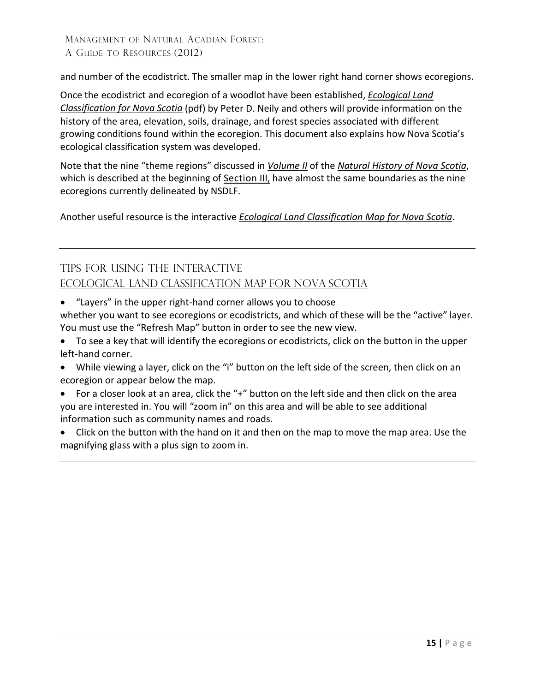and number of the ecodistrict. The smaller map in the lower right hand corner shows ecoregions.

Once the ecodistrict and ecoregion of a woodlot have been established, *[Ecological Land](https://novascotia.ca/natr/forestry/ecological/pdf/Ecological-Land-Classification-guide.pdf) [Classification for Nova Scotia](https://novascotia.ca/natr/forestry/ecological/pdf/Ecological-Land-Classification-guide.pdf)* (pdf) by Peter D. Neily and others will provide information on the history of the area, elevation, soils, drainage, and forest species associated with different growing conditions found within the ecoregion. This document also explains how Nova Scotia's ecological classification system was developed.

Note that the nine "theme regions" discussed in *[Volume II](http://ojs.library.dal.ca/NSM/issue/view/352)* of the *[Natural History of](http://ojs.library.dal.ca/NSM/issue/view/352) Nova Scotia*, which is described at the beginning of [Section](#page-13-0) III, have almost the same boundaries as the nine ecoregions currently delineated by NSDLF.

Another useful resource is the interactive *[Ecological Land Classification Map for Nova](https://nsgi.novascotia.ca/plv/) [Scotia](http://gis4.natr.gov.ns.ca/website/nselcmap/viewer.htm)*.

### TIPS FOR USING THE INTERACTIVE ECOLOGICAL LAND [CLASSIFICATION](https://nsgi.novascotia.ca/plv/) MAP FOR NOVA [SCOTIA](http://gis4.natr.gov.ns.ca/website/nselcmap/viewer.htm)

• "Layers" in the upper right-hand corner allows you to choose

whether you want to see ecoregions or ecodistricts, and which of these will be the "active" layer. You must use the "Refresh Map" button in order to see the new view.

- To see a key that will identify the ecoregions or ecodistricts, click on the button in the upper left-hand corner.
- While viewing a layer, click on the "i" button on the left side of the screen, then click on an ecoregion or appear below the map.
- For a closer look at an area, click the "+" button on the left side and then click on the area you are interested in. You will "zoom in" on this area and will be able to see additional information such as community names and roads.
- Click on the button with the hand on it and then on the map to move the map area. Use the magnifying glass with a plus sign to zoom in.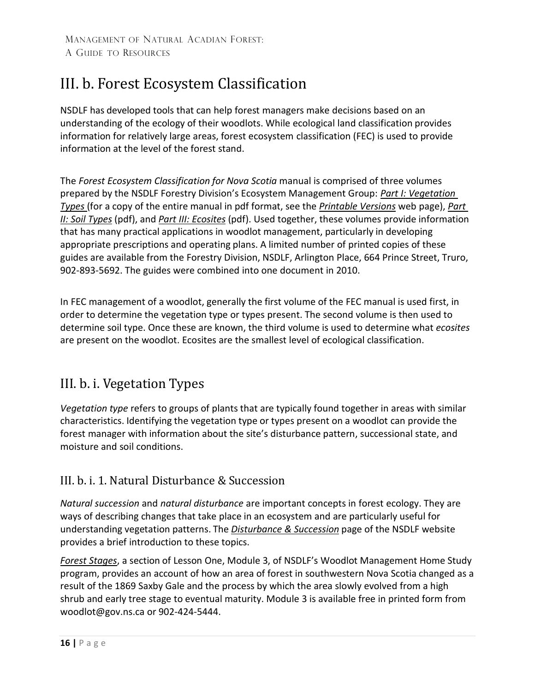## <span id="page-15-0"></span>III. b. Forest Ecosystem Classification

NSDLF has developed tools that can help forest managers make decisions based on an understanding of the ecology of their woodlots. While ecological land classification provides information for relatively large areas, forest ecosystem classification (FEC) is used to provide information at the level of the forest stand.

The *Forest Ecosystem Classification for Nova Scotia* manual is comprised of three volumes prepared by the NSDLF Forestry Division's Ecosystem Management Group: *[Part I:](http://novascotia.ca/natr/forestry/veg-types/pdf/vegtypes.pdf) [Vegetation](http://novascotia.ca/natr/forestry/veg-types/pdf/vegtypes.pdf)  [Types](http://novascotia.ca/natr/forestry/veg-types/pdf/vegtypes.pdf)* (for a copy of the entire manual in pdf format, see the *[Printable Versions](https://novascotia.ca/natr/forestry/veg-types/printable.asp)* web page), *[Part](https://novascotia.ca/natr/library/forestry/reports/Soil-Types.pdf) II: [Soil Types](https://novascotia.ca/natr/library/forestry/reports/Soil-Types.pdf)* (pdf), and *Part III: [Ecosites](https://novascotia.ca/natr/library/forestry/reports/ecosites.pdf)* (pdf). Used together, these volumes provide information that has many practical applications in woodlot management, particularly in developing appropriate prescriptions and operating plans. A limited number of printed copies of these guides are available from the Forestry Division, NSDLF, Arlington Place, 664 Prince Street, Truro, 902-893-5692. The guides were combined into one document in 2010.

In FEC management of a woodlot, generally the first volume of the FEC manual is used first, in order to determine the vegetation type or types present. The second volume is then used to determine soil type. Once these are known, the third volume is used to determine what *ecosites*  are present on the woodlot. Ecosites are the smallest level of ecological classification.

### <span id="page-15-1"></span>III. b. i. Vegetation Types

*Vegetation type* refers to groups of plants that are typically found together in areas with similar characteristics. Identifying the vegetation type or types present on a woodlot can provide the forest manager with information about the site's disturbance pattern, successional state, and moisture and soil conditions.

### <span id="page-15-2"></span>III. b. i. 1. Natural Disturbance & Succession

*Natural succession* and *natural disturbance* are important concepts in forest ecology. They are ways of describing changes that take place in an ecosystem and are particularly useful for understanding vegetation patterns. The *[Disturbance &](https://novascotia.ca/natr/forestry/programs/ecosystems/disturbance.asp) Succession* page of the NSDLF website provides a brief introduction to these topics.

*[Forest Stages](https://novascotia.ca/natr/Education/woodlot/modules/module3/Less1.asp)*, a section of Lesson One, Module 3, of NSDLF's Woodlot Management Home Study program, provides an account of how an area of forest in southwestern Nova Scotia changed as a result of the 1869 Saxby Gale and the process by which the area slowly evolved from a high shrub and early tree stage to eventual maturity. Module 3 is available free in printed form from [woodlot@gov.ns.ca](mailto:forestry@gov.ns.ca) or 902-424-5444.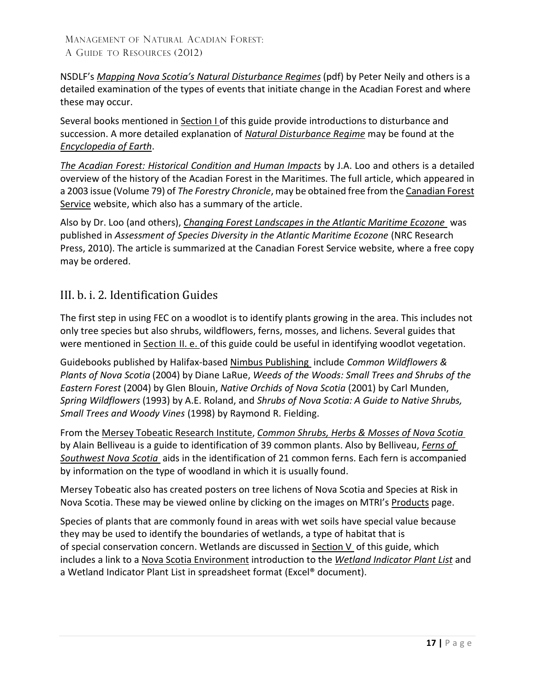NSDLF's *Mapping Nova [Scotia's Natural Disturbance Regimes](https://novascotia.ca/natr/library/forestry/reports/NDRreport3.pdf)* (pdf) by Peter Neily and others is a detailed examination of the types of events that initiate change in the Acadian Forest and where these may occur.

Several books mentioned in [Section I](#page-4-0) of this guide provide introductionsto disturbance and succession. A more detailed explanation of *[Natural Disturbance](http://editors.eol.org/eoearth/wiki/Natural_disturbance_regime) Regime* may be found at the *[Encyclopedia](http://www.eoearth.org/) of Earth*.

*The Acadian Forest: Historical Condition [and Human Impacts](http://cfs.nrcan.gc.ca/publications?id=22845)* by J.A. Loo and others is a detailed overview of the history of the Acadian Forest in the Maritimes. The full article, which appeared in a 2003 issue (Volume 79) of *The Forestry Chronicle*, may be obtained free from th[e Canadian Forest](https://www.nrcan.gc.ca/our-natural-resources/forests-forestry/about-canadian-forest-service/17545) [Service](https://www.nrcan.gc.ca/our-natural-resources/forests-forestry/about-canadian-forest-service/17545) website, which also has a summary of the article.

Also by Dr. Loo (and others), *[Changing Forest Landscapes in](http://cfs.nrcan.gc.ca/publications?id=32034) the Atlantic Maritime Ecozone* was published in *Assessment of Species Diversity in the Atlantic Maritime Ecozone* (NRC Research Press, 2010). The article is summarized at the Canadian Forest Service website, where a free copy may be ordered.

### <span id="page-16-0"></span>III. b. i. 2. Identification Guides

The first step in using FEC on a woodlot is to identify plants growing in the area. This includes not only tree species but also shrubs, wildflowers, ferns, mosses, and lichens. Several guides that were mentioned in **Section II. e.** of this guide could be useful in identifying woodlot vegetation.

Guidebooks published by Halifax-based Nimbus [Publishing](https://www.nimbus.ca/) include *Common Wildflowers & Plants of Nova Scotia* (2004) by Diane LaRue, *Weeds of the Woods: Small Trees and Shrubs of the Eastern Forest* (2004) by Glen Blouin, *Native Orchids of Nova Scotia* (2001) by Carl Munden, *Spring Wildflowers* (1993) by A.E. Roland, and *Shrubs of Nova Scotia: A Guide to Native Shrubs, Small Trees and Woody Vines* (1998) by Raymond R. Fielding.

From the Mersey Tobeatic [Research Institute,](http://www.merseytobeatic.ca/) *[Common Shrubs, Herbs &](http://www.merseytobeatic.ca/userfiles/file/products/publications/Fern%20%26%20Plant%20Keys/Common%20Plants%20of%20NS.pdf) Mosses of Nova Scotia* by Alain Belliveau is a guide to identification of 39 common plants. Also by Belliveau, *[Ferns of](http://www.merseytobeatic.ca/userfiles/file/products/publications/Fern%20%26%20Plant%20Keys/SWNS%20Fern%20Key.pdf) [Southwest Nova](http://www.merseytobeatic.ca/userfiles/file/products/publications/Fern%20%26%20Plant%20Keys/SWNS%20Fern%20Key.pdf) Scotia* aids in the identification of 21 common ferns. Each fern is accompanied by information on the type of woodland in which it is usually found.

Mersey Tobeatic also has created posters on tree lichens of Nova Scotia and Species at Risk in Nova Scotia. These may be viewed online by clicking on the images on MTRI's [Products](http://www.merseytobeatic.ca/products-posters.php) page.

Species of plants that are commonly found in areas with wet soils have special value because they may be used to identify the boundaries of wetlands, a type of habitat that is of special conservation concern. Wetlands are discussed in [Section](#page-25-0)  $V$  of this guide, which includes a link to a [Nova Scotia Environment](https://novascotia.ca/nse/) introduction to the *[Wetland Indicator Plant List](https://novascotia.ca/nse/wetland/indicator.plant.list.asp)* and a Wetland Indicator Plant List in spreadsheet format (Excel® document).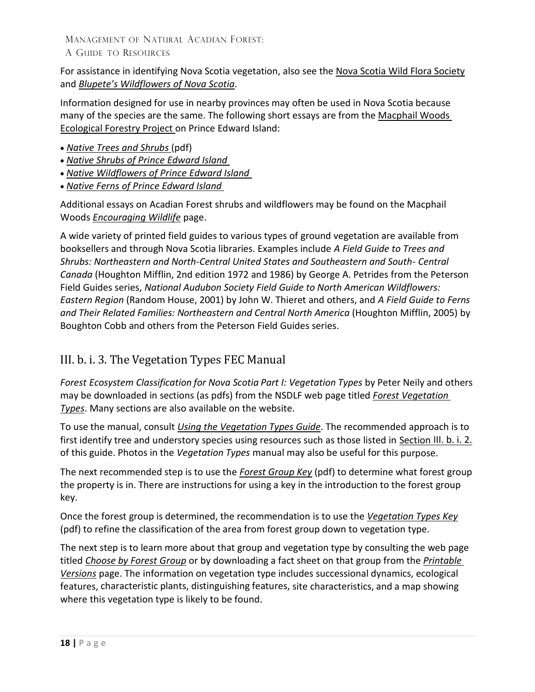For assistance in identifying Nova Scotia vegetation, also see the [Nova Scotia Wild Flora](http://nswildflora.ca/) Society and *Blupete's [Wildflowers of Nova](http://www.blupete.com/Nature/Wildflowers/Wild.htm) Scotia*.

Information designed for use in nearby provinces may often be used in Nova Scotia because many of the species are the same. The following short essays are from th[e Macphail](https://macphailwoods.org/) Woods [Ecological Forestry Project](https://macphailwoods.org/) on Prince Edward Island:

- *[Native Trees and](http://www.gov.pe.ca/photos/original/af_nt_shrubs_1c.pdf) Shrubs* (pdf)
- *[Native Shrubs of](http://macphailwoods.org/nature-guides/shrubs/) Prince Edward Island*
- *[Native Wildflowers of](http://macphailwoods.org/nature-guides/wildflowers/) Prince Edward Island*
- *[Native Ferns](http://macphailwoods.org/nature-guides/ferns/) of Prince Edward Island*

Additional essays on Acadian Forest shrubs and wildflowers may be found on the Macphail Woods *[Encouraging Wildlife](http://macphailwoods.org/forestry/public-land-management/encouraging-wildlife/)* page.

A wide variety of printed field guides to various types of ground vegetation are available from booksellers and through Nova Scotia libraries. Examples include *A Field Guide to Trees and Shrubs: Northeastern and North-Central United States and Southeastern and South- Central Canada* (Houghton Mifflin, 2nd edition 1972 and 1986) by George A. Petrides from the Peterson Field Guides series, *National Audubon Society Field Guide to North American Wildflowers: Eastern Region* (Random House, 2001) by John W. Thieret and others, and *A Field Guide to Ferns and Their Related Families: Northeastern and Central North America* (Houghton Mifflin, 2005) by Boughton Cobb and others from the Peterson Field Guides series.

### <span id="page-17-0"></span>III. b. i. 3. The Vegetation Types FEC Manual

*Forest Ecosystem Classification for Nova Scotia Part I: Vegetation Types* by Peter Neily and others may be downloaded in sections (as pdfs) from the NSDLF web page titled *Forest [Vegetation](https://novascotia.ca/natr/forestry/veg-types/printable.asp)  [Types](https://novascotia.ca/natr/forestry/veg-types/printable.asp)*. Many sections are also available on the website.

To use the manual, consult *[Using the Vegetation Types Guide](https://novascotia.ca/natr/forestry/veg-types/introduction.asp)*. The recommended approach is to first identify tree and understory species using resources such as those listed in [Section](#page-16-0) III. b. i. 2. of this guide. Photos in the *Vegetation Types* manual may also be useful for this purpose.

The next recommended step is to use the *[Forest Group Key](https://novascotia.ca/natr/forestry/veg-types/pdf/key.pdf)* (pdf) to determine what forest group the property is in. There are instructions for using a key in the introduction to the forest group key.

Once the forest group is determined, the recommendation is to use the *[Vegetation Types](https://novascotia.ca/natr/forestry/veg-types/pdf/veg-key.pdf) Key* (pdf) to refine the classification of the area from forest group down to vegetation type.

The next step is to learn more about that group and vegetation type by consulting the web page titled *[Choose by](https://novascotia.ca/natr/forestry/veg-types/veg-navigation.asp) Forest Group* or by downloading a fact sheet on that group from the *[Printable](https://novascotia.ca/natr/forestry/veg-types/printable.asp)  [Versions](https://novascotia.ca/natr/forestry/veg-types/printable.asp)* page. The information on vegetation type includes successional dynamics, ecological features, characteristic plants, distinguishing features, site characteristics, and a map showing where this vegetation type is likely to be found.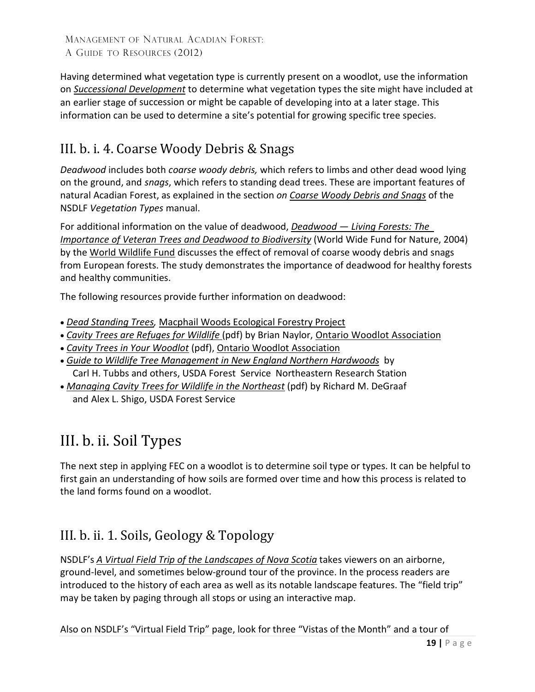Having determined what vegetation type is currently present on a woodlot, use the information on *[Successional Development](https://novascotia.ca/natr/forestry/veg-types/successional.asp)* to determine what vegetation types the site might have included at an earlier stage of succession or might be capable of developing into at a later stage. This information can be used to determine a site's potential for growing specific tree species.

## <span id="page-18-0"></span>III. b. i. 4. Coarse Woody Debris & Snags

*Deadwood* includes both *coarse woody debris,* which refers to limbs and other dead wood lying on the ground, and *snags*, which refers to standing dead trees. These are important features of natural Acadian Forest, as explained in the section *on [Coarse](https://novascotia.ca/natr/forestry/veg-types/coarse.asp) [Woody Debris and](http://www.gov.ns.ca/natr/forestry/veg-types/coarse.asp) Snags* of the NSDLF *Vegetation Types* manual.

For additional information on the value of deadwood, *Deadwood — [Living Forests: The](http://www.scribd.com/doc/27870483/Deadwood-With-Notes)  [Importance of Veteran](http://www.scribd.com/doc/27870483/Deadwood-With-Notes) Trees and Deadwood [to Biodiversity](http://www.scribd.com/doc/27870483/Deadwood-With-Notes)* (World Wide Fund for Nature, 2004) by the [World Wildlife Fund](http://www.panda.org/) discusses the effect of removal of coarse woody debris and snags from European forests. The study demonstrates the importance of deadwood for healthy forests and healthy communities.

The following resources provide further information on deadwood:

- *[Dead Standing Trees,](http://macphailwoods.org/forestry/the-acadian-forest/dead-standing-trees/)* [Macphail Woods Ecological Forestry Project](http://macphailwoods.org/)
- *[Cavity Trees are Refuges for Wildlife](http://www.ontariowoodlot.com/publications/owa-publications/extension-notes/cavity-trees-are-refuges-for-wildlife)* (pdf) by Brian Naylor, [Ontario Woodlot Association](http://www.ontariowoodlot.com/)
- *[Cavity Trees in](http://www.ontariowoodlot.com/publications/owa-publications/woodland-notes/cavity-trees-in-your-woodlot) Your Woodlot* (pdf), Ontario Woodlot [Association](https://www.ontariowoodlot.com/)
- *Guide to Wildlife Tree Management in [New England Northern Hardwoods](http://www.fs.fed.us/ne/newtown_square/publications/technical_reports/pdfs/scanned/gtr118.pdf)* by Carl H. Tubbs and others, USDA Forest Service [Northeastern Research](http://www.na.fs.fed.us/) Station
- *[Managing Cavity Trees](http://www.fs.fed.us/ne/newtown_square/publications/technical_reports/pdfs/scanned/gtr101.pdf) for Wildlife in the Northeast* (pdf) by Richard M. DeGraaf and Alex L. Shigo, USDA Forest Service

## <span id="page-18-1"></span>III. b. ii. Soil Types

The next step in applying FEC on a woodlot is to determine soil type or types. It can be helpful to first gain an understanding of how soils are formed over time and how this process is related to the land forms found on a woodlot.

### <span id="page-18-2"></span>III. b. ii. 1. Soils, Geology & Topology

NSDLF's *[A Virtual Field Trip of the Landscapes of Nova Scotia](http://novascotia.ca/natr/meb/fieldtrip/start.asp)* takes viewers on an airborne, ground-level, and sometimes below-ground tour of the province. In the process readers are introduced to the history of each area as well as its notable landscape features. The "field trip" may be taken by paging through all stops or using an interactive map.

Also on NSDLF's "Virtual Field Trip" page, look for three "Vistas of the Month" and a tour of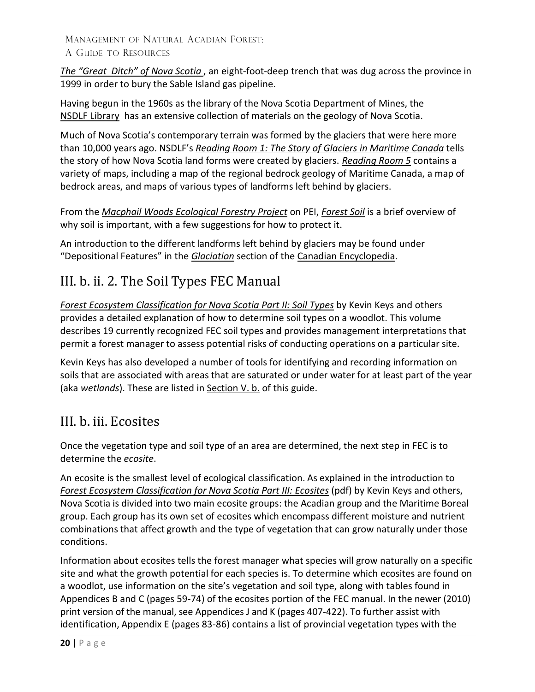*The ["Great Ditch"](http://novascotia.ca/natr/meb/fieldtrip/ditch.asp) of Nova Scotia* , an eight-foot-deep trench that was dug across the province in 1999 in order to bury the Sable Island gas pipeline.

Having begun in the 1960s as the library of the Nova Scotia Department of Mines, the [NSDLF Library](http://novascotia.ca/natr/library/) has an extensive collection of materials on the geology of Nova Scotia.

Much of Nova Scotia's contemporary terrain was formed by the glaciers that were here more than 10,000 years ago. NSDLF's *Reading Room [1: The Story of Glaciers in](http://novascotia.ca/natr/meb/fieldtrip/glacier.asp) Maritime [Canada](https://novascotia.ca/natr/meb/fieldtrip/glacier.asp)* tells the story of how Nova Scotia land forms were created by glaciers. *[Reading Room 5](http://novascotia.ca/natr/meb/fieldtrip/dem.asp)* contains a variety of maps, including a map of the regional bedrock geology of Maritime Canada, a map of bedrock areas, and maps of various types of landforms left behind by glaciers.

From the *Macphail [Woods Ecological Forestry Project](http://macphailwoods.org/)* on PEI, *[Forest](http://macphailwoods.org/forestry/the-acadian-forest/forest-soil/) Soil* is a brief overview of why soil is important, with a few suggestions for how to protect it.

An introduction to the different landforms left behind by glaciers may be found under "Depositional Features" in the *[Glaciation](https://www.thecanadianencyclopedia.ca/en/article/glaciation)* section of the Canadian [Encyclopedia.](https://www.thecanadianencyclopedia.ca/en)

### <span id="page-19-0"></span>III. b. ii. 2. The Soil Types FEC Manual

*[Forest Ecosystem Classification for](https://novascotia.ca/natr/library/forestry/reports/Soil-Types.pdf) Nova Scotia Part II: Soil Types* by Kevin Keys and others provides a detailed explanation of how to determine soil types on a woodlot. This volume describes 19 currently recognized FEC soil types and provides management interpretations that permit a forest manager to assess potential risks of conducting operations on a particular site.

Kevin Keys has also developed a number of tools for identifying and recording information on soils that are associated with areas that are saturated or under water for at least part of the year (aka *wetlands*). These are listed in [Section](#page-25-2) V. b. of this guide.

### <span id="page-19-1"></span>III. b. iii. Ecosites

Once the vegetation type and soil type of an area are determined, the next step in FEC is to determine the *ecosite*.

An ecosite is the smallest level of ecological classification. As explained in the introduction to *Forest Ecosystem [Classification for Nova Scotia Part III: Ecosites](https://novascotia.ca/natr/library/forestry/reports/Ecosites.pdf)* (pdf) by Kevin Keys and others, Nova Scotia is divided into two main ecosite groups: the Acadian group and the Maritime Boreal group. Each group has its own set of ecosites which encompass different moisture and nutrient combinations that affect growth and the type of vegetation that can grow naturally under those conditions.

Information about ecosites tells the forest manager what species will grow naturally on a specific site and what the growth potential for each species is. To determine which ecosites are found on a woodlot, use information on the site's vegetation and soil type, along with tables found in Appendices B and C (pages 59-74) of the ecosites portion of the FEC manual. In the newer (2010) print version of the manual, see Appendices J and K (pages 407-422). To further assist with identification, Appendix E (pages 83-86) contains a list of provincial vegetation types with the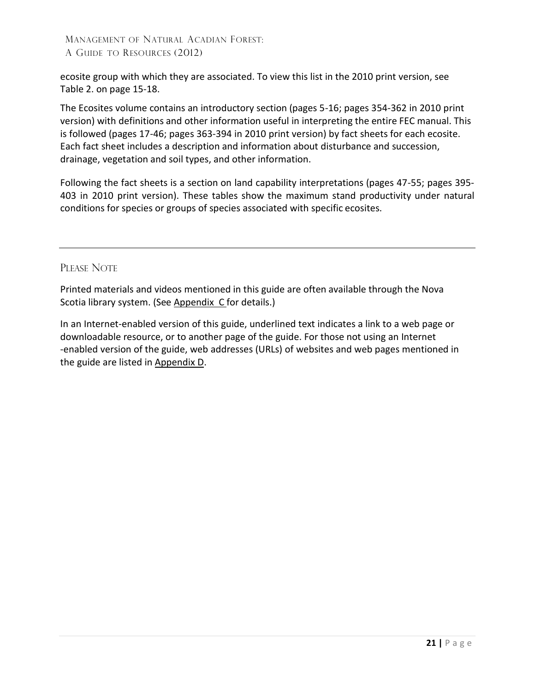ecosite group with which they are associated. To view this list in the 2010 print version, see Table 2. on page 15-18.

The Ecosites volume contains an introductory section (pages 5-16; pages 354-362 in 2010 print version) with definitions and other information useful in interpreting the entire FEC manual. This is followed (pages 17-46; pages 363-394 in 2010 print version) by fact sheets for each ecosite. Each fact sheet includes a description and information about disturbance and succession, drainage, vegetation and soil types, and other information.

Following the fact sheets is a section on land capability interpretations (pages 47-55; pages 395- 403 in 2010 print version). These tables show the maximum stand productivity under natural conditions for species or groups of species associated with specific ecosites.

### PLEASE NOTE

Printed materials and videos mentioned in this guide are often available through the Nova Scotia library system. (See [Appendix](#page-30-0) C for details.)

In an Internet-enabled version of this guide, underlined text indicates a link to a web page or downloadable resource, or to another page of the guide. For those not using an Internet -enabled version of the guide, web addresses (URLs) of websites and web pages mentioned in the guide are listed in [Appendix D.](#page-31-0)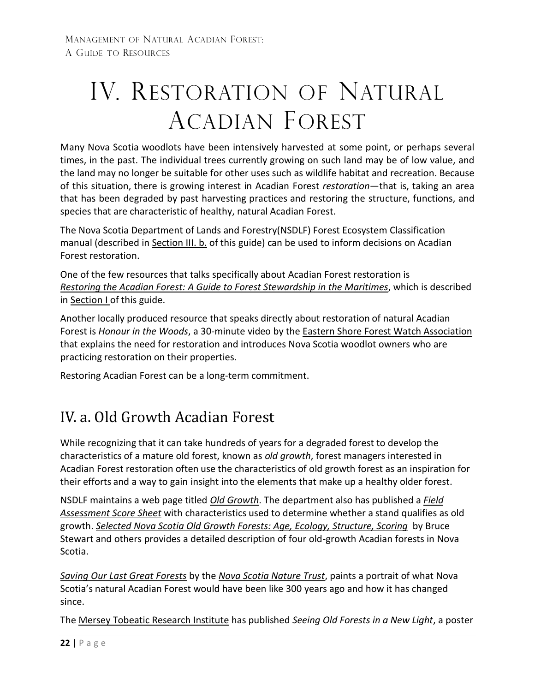# <span id="page-21-0"></span>IV. RESTORATION OF NATURAL ACADIAN FOREST

Many Nova Scotia woodlots have been intensively harvested at some point, or perhaps several times, in the past. The individual trees currently growing on such land may be of low value, and the land may no longer be suitable for other uses such as wildlife habitat and recreation. Because of this situation, there is growing interest in Acadian Forest *restoration*—that is, taking an area that has been degraded by past harvesting practices and restoring the structure, functions, and species that are characteristic of healthy, natural Acadian Forest.

The [Nova Scotia Department of Lands and Forestry\(](http://www.gov.ns.ca/natr/)NSDLF) Forest Ecosystem Classification manual (described in [Section III.](#page-15-0) b. of this guide) can be used to inform decisions on Acadian Forest restoration.

One of the few resources that talks specifically about Acadian Forest restoration is *Restoring the Acadian [Forest: A Guide to Forest Stewardship in](http://www.bondrup.com/uploads/6/7/6/5/6765532/1-30.pdf) the Maritimes*, which is described in [Section](#page-4-0) I of this guide.

Another locally produced resource that speaks directly about restoration of natural Acadian Forest is *Honour in the Woods*, a 30-minute video by the Eastern Shore [Forest Watch Association](http://forestwatch.ca/) that explains the need for restoration and introduces Nova Scotia woodlot owners who are practicing restoration on their properties.

Restoring Acadian Forest can be a long-term commitment.

## <span id="page-21-1"></span>IV. a. Old Growth Acadian Forest

While recognizing that it can take hundreds of years for a degraded forest to develop the characteristics of a mature old forest, known as *old growth*, forest managers interested in Acadian Forest restoration often use the characteristics of old growth forest as an inspiration for their efforts and a way to gain insight into the elements that make up a healthy older forest.

NSDLF maintains a web page titled *[Old Growth](https://novascotia.ca/natr/forestry/programs/ecosystems/oldgrowth.asp)*. The department also has published a *[Field](https://novascotia.ca/natr/forestry/programs/ecosystems/scoresht.asp) [Assessment Score](https://novascotia.ca/natr/forestry/programs/ecosystems/scoresht.asp) Sheet* with characteristics used to determine whether a stand qualifies as old growth. *[Selected Nova Scotia Old Growth Forests: Age, Ecology, Structure, Scoring](https://novascotia.ca/natr/forestry/reports/selnsoldgrowthfor.pdf)* by Bruce Stewart and others provides a detailed description of four old-growth Acadian forests in Nova Scotia.

*[Saving Our Last Great Forests](https://nsnt.ca/our-work/focus-areas/saving-our-last-great-forests/)* by the *[Nova Scotia Nature Trust](http://nsnt.ca/)*, paints a portrait of what Nova Scotia's natural Acadian Forest would have been like 300 years ago and how it has changed since.

The Mersey Tobeatic [Research Institute](http://www.merseytobeatic.ca/) has published *Seeing Old Forests in a New Light*, a poster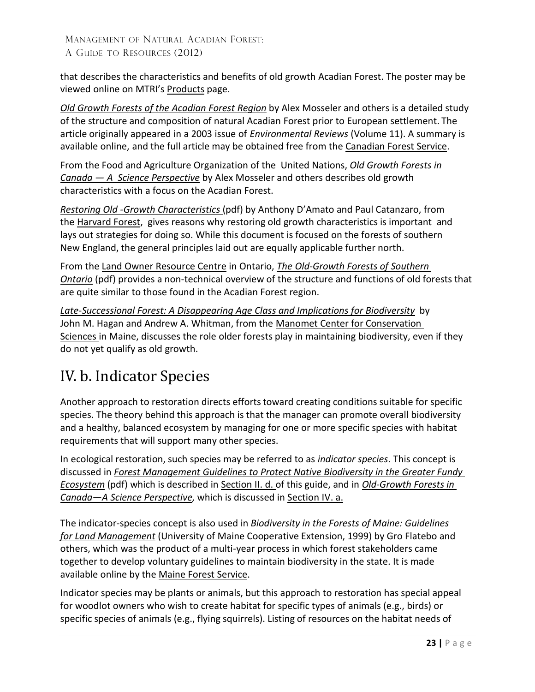that describes the characteristics and benefits of old growth Acadian Forest. The poster may be viewed online on MTRI's [Products](http://www.merseytobeatic.ca/products-posters.php) page.

*[Old Growth Forests of](http://cfs.nrcan.gc.ca/publications?id=22859) the Acadian Forest Region* by Alex Mosseler and others is a detailed study of the structure and composition of natural Acadian Forest prior to European settlement. The article originally appeared in a 2003 issue of *Environmental Reviews* (Volume 11). A summary is available online, and the full article may be obtained free from the [Canadian Forest Service.](https://www.nrcan.gc.ca/our-natural-resources/forests-forestry/about-canadian-forest-service/17545)

From the [Food and Agriculture Organization of the United Nations,](http://www.fao.org/) *[Old Growth Forests](http://www.fao.org/DOCREP/ARTICLE/WFC/XII/0042-B1.HTM) in Canada — [A Science Perspective](http://www.fao.org/DOCREP/ARTICLE/WFC/XII/0042-B1.HTM)* by Alex Mosseler and others describes old growth characteristics with a focus on the Acadian Forest.

*Restoring Old [-Growth Characteristics](http://harvardforest.fas.harvard.edu/publications/pdfs/Damato_umassextension_2007.pdf)* (pdf) by Anthony D'Amato and Paul Catanzaro, from the [Harvard Forest,](http://harvardforest.fas.harvard.edu/) gives reasons why restoring old growth characteristics is important and lays out strategies for doing so. While this document is focused on the forests of southern New England, the general principles laid out are equally applicable further north.

From the Land [Owner Resource](http://www.lrconline.com/) Centre in Ontario, *The Old-Growth [Forests of Southern](http://www.lrconline.com/Extension_Notes_English/pdf/oldgwth.pdf) [Ontario](http://www.lrconline.com/Extension_Notes_English/pdf/oldgwth.pdf)* (pdf) provides a non-technical overview of the structure and functions of old forests that are quite similar to those found in the Acadian Forest region.

*Late-Successional Forest: [A Disappearing Age Class and Implications for Biodiversity](https://www.manomet.org/wp-content/uploads/old-files/Hagan%20and%20Whitman.%202004.%20Late-successional%20Forest%20-%20A%20disappearing%20age%20class%20and%20implications%20for%20biodiversity.pdf)* by John M. Hagan and Andrew A. Whitman, from the [Manomet Center for](https://www.manomet.org/) Conservation [Sciences i](http://www.manometmaine.org/)n Maine, discusses the role older forests play in maintaining biodiversity, even if they do not yet qualify as old growth.

## <span id="page-22-0"></span>IV. b. Indicator Species

Another approach to restoration directs efforts toward creating conditions suitable for specific species. The theory behind this approach is that the manager can promote overall biodiversity and a healthy, balanced ecosystem by managing for one or more specific species with habitat requirements that will support many other species.

In ecological restoration, such species may be referred to as *indicator species*. This concept is discussed in *[Forest Management Guidelines to Protect Native Biodiversity in the](http://www2.unb.ca/fundy/documents/GFE_Guidelines.pdf) Greater Fundy [Ecosystem](http://www2.unb.ca/fundy/documents/GFE_Guidelines.pdf)* (pdf) which is described in [Section II. d.](#page-10-0) of this guide, and in *[Old-Growth Forests in](http://www.fao.org/DOCREP/ARTICLE/WFC/XII/0042-B1.HTM)  [Canada—A Science Perspective,](http://www.fao.org/DOCREP/ARTICLE/WFC/XII/0042-B1.HTM)* which is discussed in [Section](#page-21-1) IV. a.

The indicator-species concept is also used in *[Biodiversity in the Forests of](http://www.upperstjohnriver.com/BFM.pdf) Maine: Guidelines for Land [Management](http://www.upperstjohnriver.com/BFM.pdf)* (University of Maine Cooperative Extension, 1999) by Gro Flatebo and others, which was the product of a multi-year process in which forest stakeholders came together to develop voluntary guidelines to maintain biodiversity in the state. It is made available online by the [Maine Forest Service.](https://www.maine.gov/dacf/mfs/index.shtml)

Indicator species may be plants or animals, but this approach to restoration has special appeal for woodlot owners who wish to create habitat for specific types of animals (e.g., birds) or specific species of animals (e.g., flying squirrels). Listing of resources on the habitat needs of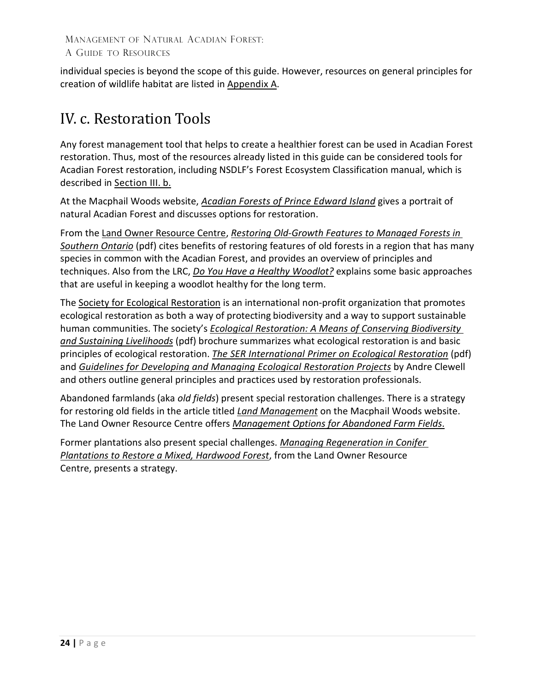individual species is beyond the scope of this guide. However, resources on general principles for creation of wildlife habitat are listed in [Appendix](#page-27-0) A.

## <span id="page-23-0"></span>IV. c. Restoration Tools

Any forest management tool that helps to create a healthier forest can be used in Acadian Forest restoration. Thus, most of the resources already listed in this guide can be considered tools for Acadian Forest restoration, including NSDLF's Forest Ecosystem Classification manual, which is described in [Section](#page-15-0) III. b.

At the Macphail Woods website, *[Acadian Forests of Prince Edward Island](http://macphailwoods.org/forestry/the-acadian-forest/)* gives a portrait of natural Acadian Forest and discusses options for restoration.

From the Land [Owner Resource Centre,](http://www.lrconline.com/) *[Restoring Old-Growth Features to Managed Forests](http://www.lrconline.com/Extension_Notes_English/pdf/rstr_oldgwth.pdf) [in](http://www.lrconline.com/Extension_Notes_English/pdf/rstr_oldgwth.pdf) [Southern Ontario](http://www.lrconline.com/Extension_Notes_English/pdf/rstr_oldgwth.pdf)* (pdf) cites benefits of restoring features of old forests in a region that has many species in common with the Acadian Forest, and provides an overview of principles and techniques. Also from the LRC, *Do You Have a [Healthy Woodlot?](http://www.lrconline.com/Extension_Notes_English/pdf/hlthywdlt.pdf)* explains some basic approaches that are useful in keeping a woodlot healthy for the long term.

The [Society for Ecological Restoration](http://www.ser.org/) is an international non-profit organization that promotes ecological restoration as both a way of protecting biodiversity and a way to support sustainable human communities. The society's *[Ecological Restoration: A Means of Conserving Biodiversity](https://cdn.ymaws.com/www.ser.org/resource/resmgr/custompages/publications/ser_publications/Global_Rationale_English.pdf)  [and Sustaining Livelihoods](https://cdn.ymaws.com/www.ser.org/resource/resmgr/custompages/publications/ser_publications/Global_Rationale_English.pdf)* (pdf) brochure summarizes what ecological restoration is and basic principles of ecological restoration. *[The SER International Primer on Ecological Restoration](https://www.ctahr.hawaii.edu/LittonC/PDFs/682_SERPrimer.pdf)* (pdf) and *[Guidelines for Developing and Managing Ecological Restoration Projects](https://cdn.ymaws.com/www.ser.org/resource/resmgr/custompages/publications/ser_publications/Dev_and_Mng_Eco_Rest_Proj.pdf)* by Andre Clewell and others outline general principles and practices used by restoration professionals.

Abandoned farmlands (aka *old fields*) present special restoration challenges. There is a strategy for restoring old fields in the article titled *[Land Management](http://macphailwoods.org/forestry/public-land-management/)* on the Macphail Woods website. The Land Owner Resource Centre offers *[Management Options for Abandoned Farm Fields](http://www.lrconline.com/Extension_Notes_English/forestry/ab_flds.html)*.

Former plantations also present special challenges. *[Managing Regeneration](http://www.lrconline.com/Extension_Notes_English/pdf/Conifer%20Fact%20Sheet.pdf) in Conifer [Plantations to Restore](http://www.lrconline.com/Extension_Notes_English/pdf/Conifer%20Fact%20Sheet.pdf) a Mixed, Hardwood Forest*, from the Land Owner Resource Centre, presents a strategy.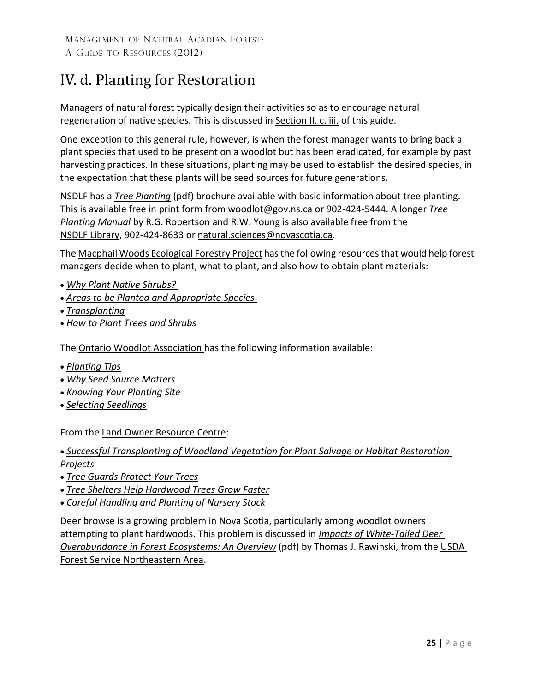## <span id="page-24-0"></span>IV. d. Planting for Restoration

Managers of natural forest typically design their activitiesso as to encourage natural regeneration of native species. This is discussed in [Section](#page-9-0) II. c. iii. of this guide.

One exception to this general rule, however, is when the forest manager wants to bring back a plant species that used to be present on a woodlot but has been eradicated, for example by past harvesting practices. In these situations, planting may be used to establish the desired species, in the expectation that these plants will be seed sources for future generations.

NSDLF has a *[Tree Planting](https://novascotia.ca/natr/woodlot/pdf/TreePlanting.pdf)* (pdf) brochure available with basic information about tree planting. This is available free in print form fr[om woodlot@gov.ns.ca](mailto:woodlot@gov.ns.ca) or 902-424-5444. A longer *Tree Planting Manual* by R.G. Robertson and R.W. Young is also available free from the [NSDLF Library,](https://novascotia.ca/natr/library/) 902-424-8633 or [natural.sciences@novascotia.ca](mailto:natural.sciences@novascotia.ca)[.](mailto:nsdnrlib@gov.ns.ca)

Th[e Macphail Woods Ecological Forestry Project](http://macphailwoods.org/) hasthe following resourcesthat would help forest managers decide when to plant, what to plant, and also how to obtain plant materials:

- *[Why Plant Native Shrubs?](http://macphailwoods.org/nursery/planting-guide/planting-propagating-native-shrubs/)*
- *[Areas to be Planted and](https://macphailwoods.org/wp-content/uploads/2013/02/Areas-to-be-Planted-and-Appropriate-Species.pdf) Appropriate Species*
- *[Transplanting](http://macphailwoods.org/nursery/planting-guide/transplanting/)*
- *[How to Plant Trees](https://macphailwoods.org/wp-content/uploads/2013/02/How-to-Plant-Trees-Shrubs.pdf) and Shrubs*

The [Ontario Woodlot Association h](http://www.ontariowoodlot.com/)as the following information available:

- *[Planting Tips](http://www.ontariowoodlot.com/forest-management/seeds-trees/planting-tips)*
- *Why Seed [Source Matters](http://www.ontariowoodlot.com/forest-management/seeds-trees/why-seed-source-matters)*
- *[Knowing Your Planting Site](http://www.ontariowoodlot.com/forest-management/seeds-trees/know-your-planting-site)*
- *[Selecting Seedlings](http://www.ontariowoodlot.com/forest-management/seeds-trees/selecting-seedlings)*

From the Land [Owner Resource Centre:](http://www.lrconline.com/)

• *[Successful Transplanting of Woodland Vegetation](http://www.lrconline.com/Extension_Notes_English/pdf/trnsplntng.pdf) for Plant Salvage or Habitat [Restoration](http://www.lrconline.com/Extension_Notes_English/pdf/trnsplntng.pdf)  Projects*

- *[Tree Guards Protect Your](http://www.lrconline.com/Extension_Notes_English/pdf/trgrds.pdf) Trees*
- *Tree Shelters Help [Hardwood Trees Grow Faster](http://www.lrconline.com/Extension_Notes_English/pdf/tr_shltrs.pdf)*
- *[Careful Handling and Planting of Nursery Stock](http://www.lrconline.com/Extension_Notes_English/pdf/crflhnd.pdf)*

Deer browse is a growing problem in Nova Scotia, particularly among woodlot owners attempting to plant hardwoods. This problem is discussed in *Impacts of [White-Tailed Deer](https://www.fs.usda.gov/naspf/sites/default/files/naspf/pdf/white_tailed_deer_0.pdf) [Overabundance in Forest Ecosystems: An Overview](https://www.fs.usda.gov/naspf/sites/default/files/naspf/pdf/white_tailed_deer_0.pdf)* (pdf) by Thomas J. Rawinski, from the [USDA](http://www.na.fs.fed.us/)  Forest Service [Northeastern](http://www.na.fs.fed.us/) Area.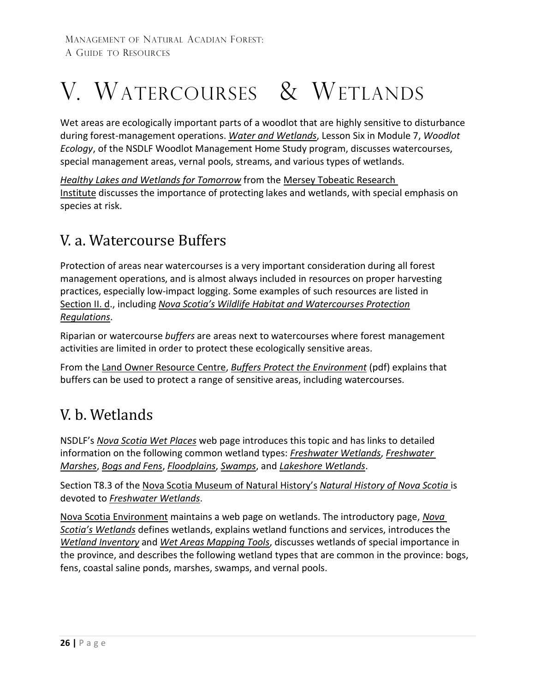# <span id="page-25-0"></span>V. WATERCOURSES & WETLANDS

Wet areas are ecologically important parts of a woodlot that are highly sensitive to disturbance during forest-management operations. *[Water and Wetlands](https://novascotia.ca/natr/Education/woodlot/modules/module7/less6.asp)*, Lesson Six in Module 7, *Woodlot Ecology*, of the NSDLF Woodlot Management Home Study program, discusses watercourses, special management areas, vernal pools, streams, and various types of wetlands.

*[Healthy Lakes and Wetlands for](http://www.speciesatrisk.ca/Landowner%20Stewardship%20Guide%20for%20the%20WEB.pdf) Tomorrow* from the Mersey [Tobeatic Research](http://www.merseytobeatic.ca/) [Institute](http://www.merseytobeatic.ca/) discusses the importance of protecting lakes and wetlands, with special emphasis on species at risk.

## <span id="page-25-1"></span>V. a. Watercourse Buffers

Protection of areas near watercourses is a very important consideration during all forest management operations, and is almost always included in resources on proper harvesting practices, especially low-impact logging. Some examples of such resources are listed in [Section II.](#page-10-0) d., including *Nova Scotia's Wildlife Habitat [and Watercourses Protection](https://novascotia.ca/natr/wildlife/habitats/protection/) [Regulations](https://novascotia.ca/natr/wildlife/habitats/protection/)*.

Riparian or watercourse *buffers* are areas next to watercourses where forest management activities are limited in order to protect these ecologically sensitive areas.

From the Land [Owner Resource Centre,](http://www.lrconline.com/) *[Buffers Protect the Environment](http://www.lrconline.com/Extension_Notes_English/pdf/bffrs.pdf)* (pdf) explains that buffers can be used to protect a range of sensitive areas, including watercourses.

## <span id="page-25-2"></span>V. b. Wetlands

NSDLF's *[Nova Scotia Wet Places](https://novascotia.ca/natr/wildlife/habitats/nswetlands/)* web page introduces this topic and has links to detailed information on the following common wetland types: *[Freshwater Wetlands](http://novascotia.ca/natr/wildlife/habitats/nswetlands/freshwater-wetlands.asp)*, *[Freshwater](http://novascotia.ca/natr/wildlife/habitats/nswetlands/freshwater-marshes.asp) [Marshes](http://novascotia.ca/natr/wildlife/habitats/nswetlands/freshwater-marshes.asp)*, *[Bogs and](http://novascotia.ca/natr/wildlife/habitats/nswetlands/bogs.asp) Fens*, *[Floodplains](http://novascotia.ca/natr/wildlife/habitats/nswetlands/floodplains.asp)*, *[Swamps](http://novascotia.ca/natr/wildlife/habitats/nswetlands/swamps.asp)*, and *[Lakeshore Wetlands](http://novascotia.ca/natr/wildlife/habitats/nswetlands/lakeshore.asp)*.

Section T8.3 of the [Nova Scotia Museum](https://naturalhistory.novascotia.ca/) of Natural History's *[Natural History](http://ojs.library.dal.ca/NSM/issue/view/349) of Nova Scotia* is devoted to *[Freshwater Wetlands](https://www.novascotia.ca/nse/surface.water/docs/NSMuseum_FreshWaterWetlands.pdf)*.

[Nova Scotia Environment](https://novascotia.ca/nse/) maintains a web page on wetlands. The introductory page, *[Nova](https://novascotia.ca/nse/wetland/)  [Scotia's Wetlands](https://novascotia.ca/nse/wetland/)* defines wetlands, explains wetland functions and services, introduces the *[Wetland Inventory](https://novascotia.ca/natr/wildlife/habitats/wetlands.asp)* and *[Wet Areas Mapping Tools](https://novascotia.ca/natr/forestry/gis/wamdownload.asp)*, discusses wetlands of special importance in the province, and describes the following wetland types that are common in the province: bogs, fens, coastal saline ponds, marshes, swamps, and vernal pools.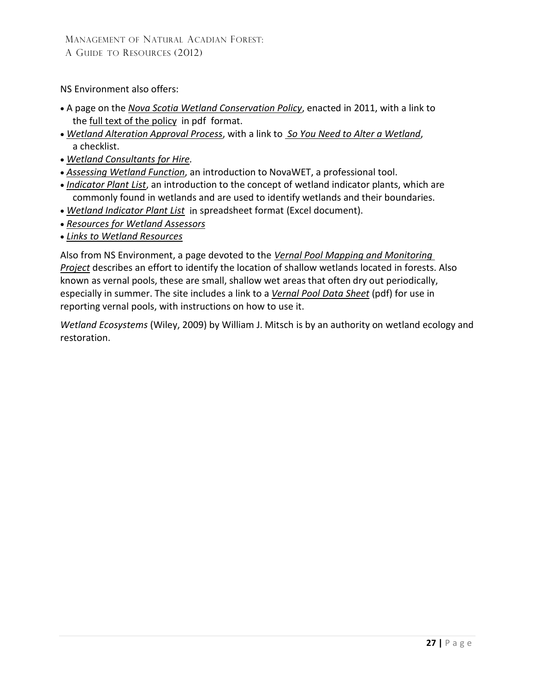NS Environment also offers:

- A page on the *Nova Scotia Wetland [Conservation](https://novascotia.ca/nse/wetland/conservation.policy.asp) Policy*, enacted in 2011, with a link to the full [text of](http://www.novascotia.ca/nse/wetland/docs/Nova.Scotia.Wetland.Conservation.Policy.pdf) the policy in pdf format.
- *[Wetland Alteration](https://novascotia.ca/nse/wetland/wetland.alteration.asp) Approval Process*, with a link to *So You Need to Alter [a Wetland](http://www.novascotia.ca/nse/wetland/docs/So.You.Need.to.Alter.a.Wetland.pdf)*, a checklist.
- *[Wetland Consultants for](https://novascotia.ca/nse/wetland/wetland.professional.resources.asp) Hire.*
- *[Assessing](https://novascotia.ca/nse/wetland/assessing.wetland.function.asp) Wetland Function*, an introduction to NovaWET, a professional tool.
- *[Indicator Plant List](https://novascotia.ca/nse/wetland/indicator.plant.list.asp)*, an introduction to the concept of wetland indicator plants, which are commonly found in wetlands and are used to identify wetlands and their boundaries.
- *Wetland Indicator Plant List* [in spreadsheet format](http://novascotia.ca/nse/wetland/docs/Wetland.Indicator.Plant.List.xls) (Excel document).
- *[Resources for](https://novascotia.ca/nse/wetland/wetland.assessment.resources.asp) Wetland Assessors*
- *[Links to Wetland Resources](https://novascotia.ca/nse/wetland/wetland.links.asp)*

Also from NS Environment, a page devoted to the *[Vernal Pool Mapping](https://novascotia.ca/nse/wetland/vernal.pool.mapping.project.asp) and Monitoring [Project](https://novascotia.ca/nse/wetland/vernal.pool.mapping.project.asp)* describes an effort to identify the location of shallow wetlands located in forests. Also known as vernal pools, these are small, shallow wet areas that often dry out periodically, especially in summer. The site includes a link to a *[Vernal Pool](http://novascotia.ca/nse/wetland/docs/Vernal.Pool.Data.Sheet.pdf) Data Sheet* (pdf) for use in reporting vernal pools, with instructions on how to use it.

*Wetland Ecosystems* (Wiley, 2009) by William J. Mitsch is by an authority on wetland ecology and restoration.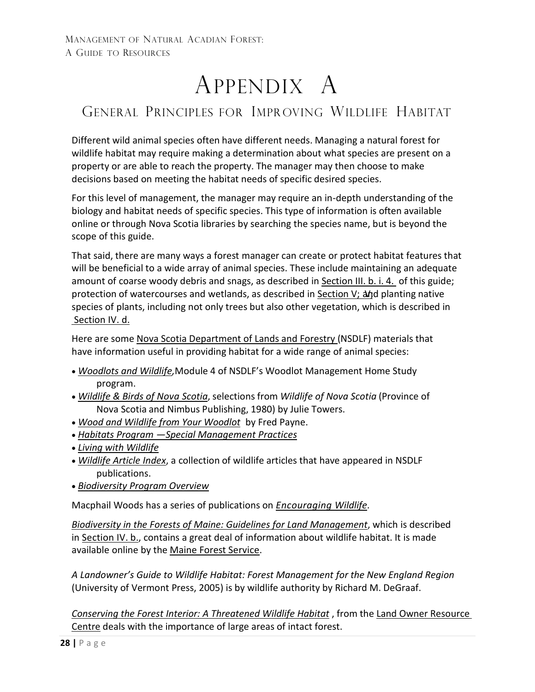# APPENDIX A

## <span id="page-27-0"></span>GENERAL PRINCIPLES FOR IMPR OVING WILDLIFE HABITAT

Different wild animal species often have different needs. Managing a natural forest for wildlife habitat may require making a determination about what species are present on a property or are able to reach the property. The manager may then choose to make decisions based on meeting the habitat needs of specific desired species.

For this level of management, the manager may require an in-depth understanding of the biology and habitat needs of specific species. This type of information is often available online or through Nova Scotia libraries by searching the species name, but is beyond the scope of this guide.

That said, there are many ways a forest manager can create or protect habitat features that will be beneficial to a wide array of animal species. These include maintaining an adequate amount of coarse woody debris and snags, as described in [Section](#page-18-0) III. b. i. 4. of this guide; protection of watercourses and wetlands, as described in [Section](#page-25-0) V;  $\Delta f$ d planting native species of plants, including not only trees but also other vegetation, which is described in [Section IV.](#page-24-0) d.

Here are some [Nova Scotia Department of Lands and Forestry](https://novascotia.ca/natr/) (NSDLF) materials that have information useful in providing habitat for a wide range of animal species:

- *[Woodlots and Wildlife,](http://novascotia.ca/natr/Education/woodlot/modules/module4/default.asp)*Module 4 of NSDLF's Woodlot Management Home Study program.
- *[Wildlife & Birds of](https://novascotia.ca/natr/wildlife/wns/toc.asp) Nova Scotia*, selections from *Wildlife of Nova Scotia* (Province of Nova Scotia and Nimbus Publishing, 1980) by Julie Towers.
- *[Wood and Wildlife from](http://novascotia.ca/natr/wildlife/conserva/wood-wildlife.asp) Your Woodlot* by Fred Payne.
- *Habitats Program [—Special Management](https://novascotia.ca/natr/wildlife/habitats/terrestrial/) Practices*
- *[Living with Wildlife](http://novascotia.ca/natr/wildlife/living-with-wildlife/)*
- *[Wildlife Article](https://novascotia.ca/natr/wildlife/conserva/) Index*, a collection of wildlife articles that have appeared in NSDLF publications.
- *[Biodiversity Program](http://novascotia.ca/natr/wildlife/biodiversity/) Overview*

Macphail Woods has a series of publications on *[Encouraging Wildlife](http://macphailwoods.org/forestry/public-land-management/encouraging-wildlife/)*.

*[Biodiversity in the Forests](http://www.upperstjohnriver.com/BFM.pdf) of Maine: Guidelines for Land Management*, which is described in [Section](#page-22-0) IV. b., contains a great deal of information about wildlife habitat. It is made available online by the Maine [Forest Service.](https://www.maine.gov/dacf/mfs/)

*A Landowner's Guide to Wildlife Habitat: Forest Management for the New England Region* (University of Vermont Press, 2005) is by wildlife authority by Richard M. DeGraaf.

*[Conserving the Forest Interior: A Threatened Wildlife Habitat](http://www.lrconline.com/Extension_Notes_English/pdf/forInterior.pdf)* , from the Land Owner [Resource](http://www.lrconline.com/)  Centre deals with the importance of large areas of intact forest.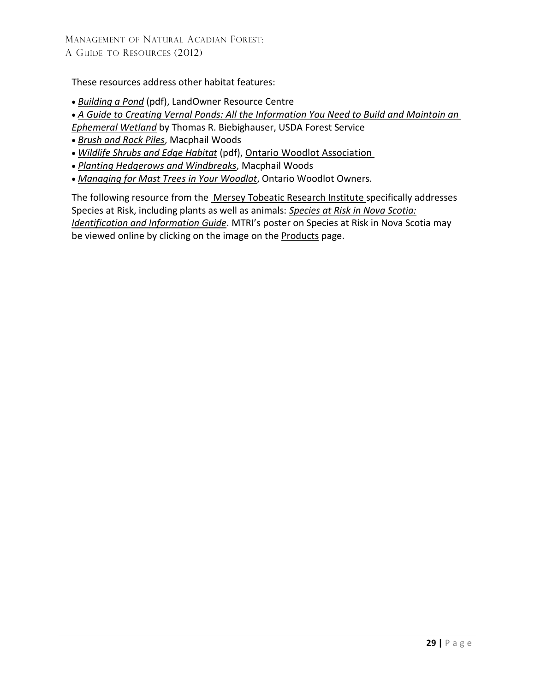These resources address other habitat features:

- *[Building a Pond](http://www.lrconline.com/Extension_Notes_English/pdf/pnds.pdf)* (pdf), LandOwner Resource Centre
- *[A Guide to Creating Vernal Ponds: All the Information You Need to Build and Maintain an](https://www.nyfoa.org/application/files/3514/7948/6007/GuidetoCreateVernPonds.pdf)*
- *[Ephemeral Wetland](https://www.nyfoa.org/application/files/3514/7948/6007/GuidetoCreateVernPonds.pdf)* by Thomas R. Biebighauser, USDA Forest Service
- *[Brush and Rock Piles](http://macphailwoods.org/forestry/the-acadian-forest/brush-rock-piles/)*, Macphail Woods
- *[Wildlife Shrubs and Edge Habitat](https://www.ontariowoodlot.com/publications-and-links/owa-publications/woodland-notes/download/80_bb3ca9572511af4946ce5f6e0015c316)* (pdf), [Ontario Woodlot Association](http://www.ontariowoodlot.com/)
- *[Planting Hedgerows and Windbreaks](https://macphailwoods.org/wp-content/uploads/2013/02/Hedgerows-Windbreaks.pdf)*, Macphail Woods
- *[Managing for Mast Trees](http://www.ontariowoodlot.com/publications/owa-publications/woodland-notes/managing-for-mast-trees) in Your Woodlot*, Ontario Woodlot Owners.

The following resource from the Mersey Tobeatic [Research Institute s](http://www.merseytobeatic.ca/)pecifically addresses Species at Risk, including plants as well as animals: *Species at Risk in [Nova Scotia:](http://www.speciesatrisk.ca/SARGuide) [Identification and Information](http://www.speciesatrisk.ca/SARGuide) Guide*. MTRI's poster on Species at Risk in Nova Scotia may be viewed online by clicking on the image on the [Products](http://www.merseytobeatic.ca/products-posters.php) page.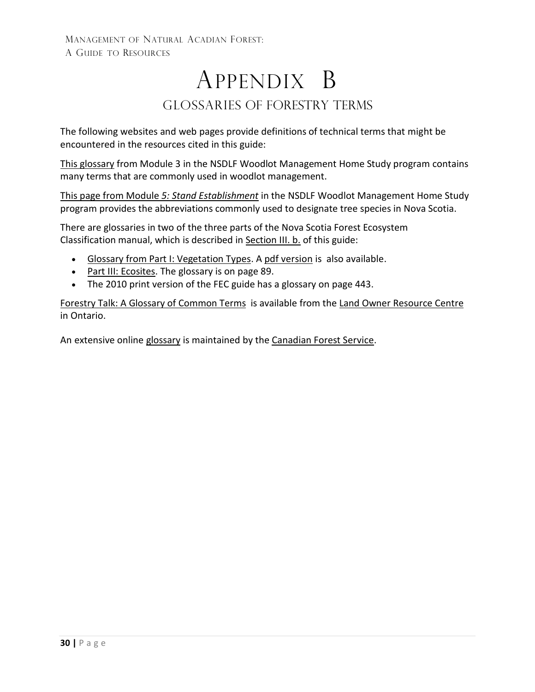## APPENDIX B GLOSSARIES of Forestry Terms

<span id="page-29-0"></span>The following websites and web pages provide definitions of technical terms that might be encountered in the resources cited in this guide:

This [glossary](http://novascotia.ca/natr/Education/woodlot/modules/module3/glossary.asp) from Module 3 in the NSDLF Woodlot Management Home Study program contains many terms that are commonly used in woodlot management.

This page from Module *5: Stand [Establishment](https://novascotia.ca/natr/Education/woodlot/modules/module5/list.asp)* in the NSDLF Woodlot Management Home Study program provides the abbreviations commonly used to designate tree species in Nova Scotia.

There are glossaries in two of the three parts of the Nova Scotia Forest Ecosystem Classification manual, which is described in [Section III.](#page-15-0) b. of this guide:

- Glossary from Part I: [Vegetation Types. A](http://novascotia.ca/natr/forestry/veg-types/glossary.asp) pdf version is [also available.](https://novascotia.ca/natr/forestry/veg-types/pdf/glossary.pdf)
- Part III: [Ecosites.](http://novascotia.ca/natr/library/forestry/reports/Ecosites.pdf) The glossary is on page 89.
- The 2010 print version of the FEC guide has a glossary on page 443.

Forestry Talk: A Glossary [of Common](http://www.lrconline.com/Extension_Notes_English/pdf/Forestry%20Terms%20Fact%20Sheet.pdf) Terms is available from the Land [Owner Resource](http://www.lrconline.com/) [Centre](http://www.lrconline.com/) in Ontario.

An extensive online [glossary](http://cfs.nrcan.gc.ca/terms) is maintained by the Canadian [Forest Service.](https://www.nrcan.gc.ca/our-natural-resources/forests-forestry/about-canadian-forest-service/17545)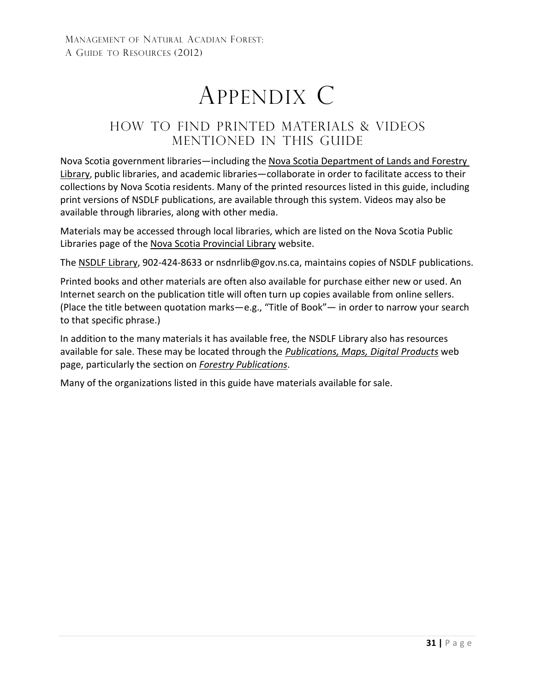# APPENDIX C

### <span id="page-30-0"></span>HOW TO FIND PRINTED MATERIALS & VIDEOS MENTIONED IN THIS GUIDE

Nova Scotia government libraries—including the [Nova Scotia Department of Lands and Forestry](https://novascotia.ca/natr/library/)  [Library,](https://novascotia.ca/natr/library/) public libraries, and academic libraries—collaborate in order to facilitate access to their collections by Nova Scotia residents. Many of the printed resources listed in this guide, including print versions of NSDLF publications, are available through this system. Videos may also be available through libraries, along with other media.

Materials may be accessed through local libraries, which are listed on the Nova Scotia Public Libraries page of the Nova Scotia [Provincial](https://library.novascotia.ca/) Library website.

The [NSDLF Library,](http://novascotia.ca/natr/library/) 902-424-8633 or [nsdnrlib@gov.ns.ca,](mailto:nsdnrlib@gov.ns.ca) maintains copies of NSDLF publications.

Printed books and other materials are often also available for purchase either new or used. An Internet search on the publication title will often turn up copies available from online sellers. (Place the title between quotation marks—e.g., "Title of Book"— in order to narrow your search to that specific phrase.)

In addition to the many materials it has available free, the NSDLF Library also has resources available for sale. These may be located through the *[Publications, Maps, Digital](http://novascotia.ca/natr/library/pubs.asp) Products* web page, particularly the section on *Forestry [Publications](https://novascotia.ca/natr/library/publications/forestry.asp)*.

Many of the organizations listed in this guide have materials available for sale.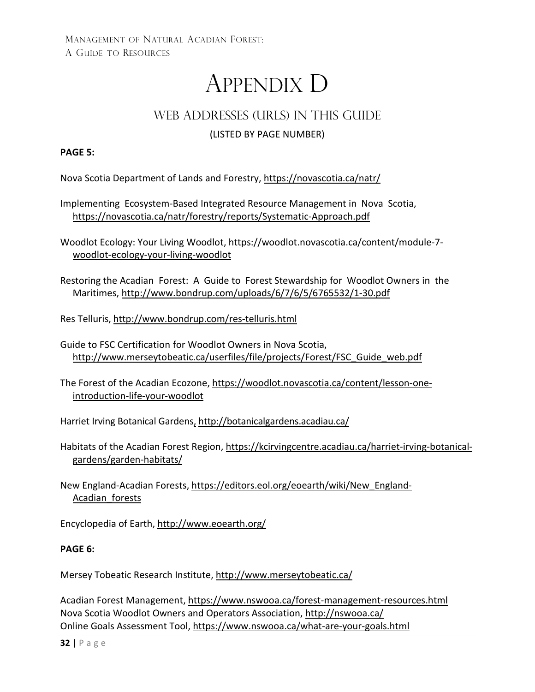# APPENDIX D

### WEB ADDRESSES (URLS) IN THIS GUIDE

### (LISTED BY PAGE NUMBER)

### <span id="page-31-0"></span>**PAGE 5:**

Nova Scotia Department of Lands and Forestry,<https://novascotia.ca/natr/>

Implementing [Ecosystem-Based I](http://www.gov.ns.ca/natr/forestry/reports/Systematic-Approach.pdf)ntegrated Resource Management in Nova Scotia, <https://novascotia.ca/natr/forestry/reports/Systematic-Approach.pdf>

Woodlot Ecology: Your Living Woodlot[, https://woodlot.novascotia.ca/content/module-7](https://woodlot.novascotia.ca/content/module-7-woodlot-ecology-your-living-woodlot) [woodlot-ecology-your-living-woodlot](https://woodlot.novascotia.ca/content/module-7-woodlot-ecology-your-living-woodlot)

Restoring the Acadian Forest: A Guide to Forest Stewardship for Woodlot Owners in the Maritimes,<http://www.bondrup.com/uploads/6/7/6/5/6765532/1-30.pdf>

[Res Telluris,](http://www.restelluris.ca/) <http://www.bondrup.com/res-telluris.html>

Guide to FSC Certification for Woodlot Owners in Nova Scotia, [http://www.merseytobeatic.ca/userfiles/file/projects/Forest/FSC\\_Guide\\_web.pdf](http://www.merseytobeatic.ca/userfiles/file/projects/Forest/FSC_Guide_web.pdf)

The Forest of the Acadian Ecozone, [https://woodlot.novascotia.ca/content/lesson-one](https://woodlot.novascotia.ca/content/lesson-one-introduction-life-your-woodlot)[introduction-life-your-woodlot](https://woodlot.novascotia.ca/content/lesson-one-introduction-life-your-woodlot)

Harriet Irving Botanical Gardens, <http://botanicalgardens.acadiau.ca/>

Habitats of the Acadian Forest Region, [https://kcirvingcentre.acadiau.ca/harriet-irving-botanical](https://kcirvingcentre.acadiau.ca/harriet-irving-botanical-gardens/garden-habitats/)[gardens/garden-habitats/](https://kcirvingcentre.acadiau.ca/harriet-irving-botanical-gardens/garden-habitats/)

New England-Acadian Forests, [https://editors.eol.org/eoearth/wiki/New\\_England-](https://editors.eol.org/eoearth/wiki/New_England-Acadian_forests)[Acadian\\_forests](https://editors.eol.org/eoearth/wiki/New_England-Acadian_forests)

Encyclopedia of Earth,<http://www.eoearth.org/>

### **PAGE 6:**

Mersey Tobeatic Research Institute,<http://www.merseytobeatic.ca/>

Acadian Forest Management,<https://www.nswooa.ca/forest-management-resources.html> Nova Scotia Woodlot Owners and Operators Association,<http://nswooa.ca/> Online Goals Assessment Tool,<https://www.nswooa.ca/what-are-your-goals.html>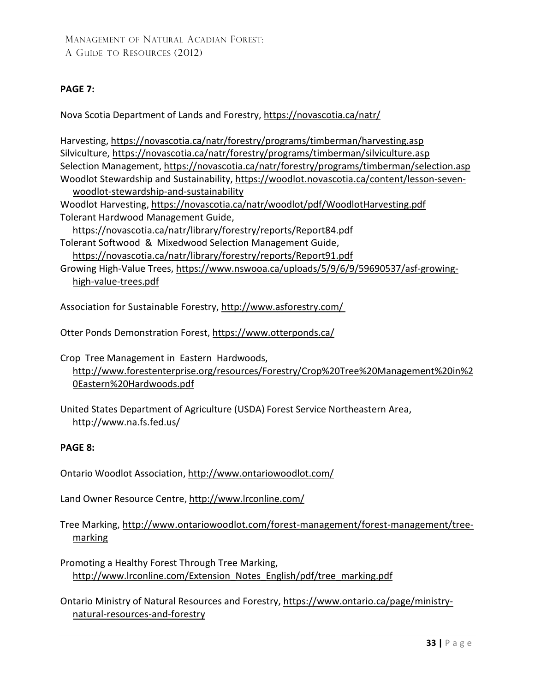### **PAGE 7:**

Nova Scotia Department of Lands and Forestry,<https://novascotia.ca/natr/>

Harvesting, <https://novascotia.ca/natr/forestry/programs/timberman/harvesting.asp> Silviculture, <https://novascotia.ca/natr/forestry/programs/timberman/silviculture.asp> Selection Management, <https://novascotia.ca/natr/forestry/programs/timberman/selection.asp> Woodlot Stewardship and Sustainability, [https://woodlot.novascotia.ca/content/lesson-seven](https://woodlot.novascotia.ca/content/lesson-seven-woodlot-stewardship-and-sustainability)[woodlot-stewardship-and-sustainability](https://woodlot.novascotia.ca/content/lesson-seven-woodlot-stewardship-and-sustainability)

Woodlot Harvesting,<https://novascotia.ca/natr/woodlot/pdf/WoodlotHarvesting.pdf> Tolerant Hardwood Management Guide,

<https://novascotia.ca/natr/library/forestry/reports/Report84.pdf>

Tolerant Softwood & Mixedwood Selection Management Guide, <https://novascotia.ca/natr/library/forestry/reports/Report91.pdf>

Growing High-Value Trees, [https://www.nswooa.ca/uploads/5/9/6/9/59690537/asf-growing](https://www.nswooa.ca/uploads/5/9/6/9/59690537/asf-growing-high-value-trees.pdf)[high-value-trees.pdf](https://www.nswooa.ca/uploads/5/9/6/9/59690537/asf-growing-high-value-trees.pdf)

Association for Sustainable [Forestry, http://www.asforestry.com/](http://www.asforestry.com/)

Otter Ponds Demonstration Forest,<https://www.otterponds.ca/>

Crop Tree Management in Eastern Hardwoods, [http://www.forestenterprise.org/resources/Forestry/Crop%20Tree%20Management%20in%2](http://www.forestenterprise.org/resources/Forestry/Crop%20Tree%20Management%20in%20Eastern%20Hardwoods.pdf) [0Eastern%20Hardwoods.pdf](http://www.forestenterprise.org/resources/Forestry/Crop%20Tree%20Management%20in%20Eastern%20Hardwoods.pdf)

[United](http://www.na.fs.fed.us/) States Department of Agriculture (USDA) Forest Service Northeastern Area, <http://www.na.fs.fed.us/>

### **PAGE 8:**

Ontario Woodlot Association,<http://www.ontariowoodlot.com/>

Land Owner Resource Centre[, http://www.lrconline.com/](http://www.lrconline.com/)

[Tree Marking,](http://www.ontariowoodlot.com/forman_marking.html) [http://www.ontariowoodlot.com/forest-management/forest-management/tree](http://www.ontariowoodlot.com/forest-management/forest-management/tree-marking)[marking](http://www.ontariowoodlot.com/forest-management/forest-management/tree-marking)

Promoting a Healthy Forest Through Tree Marking, [http://www.lrconline.com/Extension\\_Notes\\_English/pdf/tree\\_marking.pdf](http://www.lrconline.com/Extension_Notes_English/pdf/tree_marking.pdf)

[Ontario](http://www.mnr.gov.on.ca/en/) Ministry of Natural Resources and Forestry, [https://www.ontario.ca/page/ministry](https://www.ontario.ca/page/ministry-natural-resources-and-forestry)[natural-resources-and-forestry](https://www.ontario.ca/page/ministry-natural-resources-and-forestry)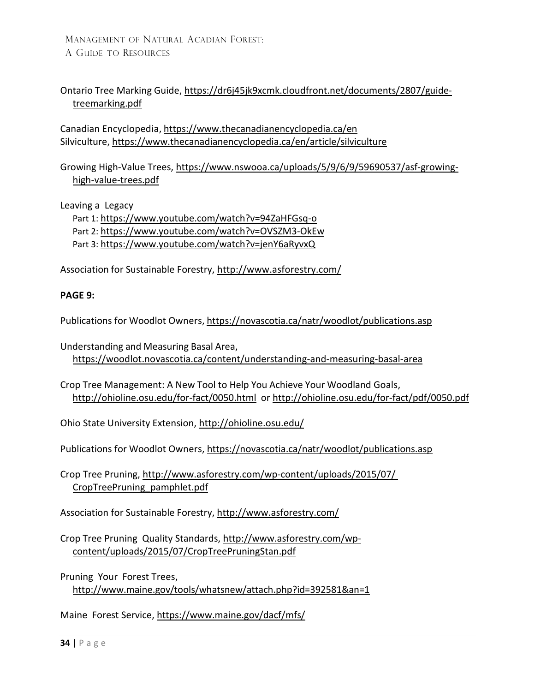### Ontario Tree Marking Guide, [https://dr6j45jk9xcmk.cloudfront.net/documents/2807/guide](https://dr6j45jk9xcmk.cloudfront.net/documents/2807/guide-treemarking.pdf)[treemarking.pdf](https://dr6j45jk9xcmk.cloudfront.net/documents/2807/guide-treemarking.pdf)

Canadian Encyclopedia, <https://www.thecanadianencyclopedia.ca/en> Silviculture,<https://www.thecanadianencyclopedia.ca/en/article/silviculture>

Growing High-Value Trees, [https://www.nswooa.ca/uploads/5/9/6/9/59690537/asf-growing](https://www.nswooa.ca/uploads/5/9/6/9/59690537/asf-growing-high-value-trees.pdf)[high-value-trees.pdf](https://www.nswooa.ca/uploads/5/9/6/9/59690537/asf-growing-high-value-trees.pdf)

Leaving a Legacy

Part 1:<https://www.youtube.com/watch?v=94ZaHFGsq-o> Part 2: <https://www.youtube.com/watch?v=OVSZM3-OkEw> Part 3:<https://www.youtube.com/watch?v=jenY6aRyvxQ>

Association for Sustainable Forestry,<http://www.asforestry.com/>

#### **PAGE 9:**

Publications for Woodlot Owners, <https://novascotia.ca/natr/woodlot/publications.asp>

[Understanding](http://www.gov.ns.ca/natr/Education/woodlot/modules/module4/basalarea.asp) and Measuring Basal Area, <https://woodlot.novascotia.ca/content/understanding-and-measuring-basal-area>

Crop Tree Management: A New Tool to Help You Achieve Your Woodland Goals, <http://ohioline.osu.edu/for-fact/0050.html> or<http://ohioline.osu.edu/for-fact/pdf/0050.pdf>

[Ohio](http://ohioline.osu.edu/) State University Extension, <http://ohioline.osu.edu/>

Publications for Woodlot Owners, <https://novascotia.ca/natr/woodlot/publications.asp>

Crop Tree Pruning, [http://www.asforestry.com/wp-content/uploads/2015/07/](http://www.asforestry.com/wp-content/uploads/2015/07/CropTreePruning_pamphlet.pdf)  [CropTreePruning\\_pamphlet.pdf](http://www.asforestry.com/wp-content/uploads/2015/07/CropTreePruning_pamphlet.pdf)

[Association for](http://www.asforestry.com/) Sustainable Forestry,<http://www.asforestry.com/>

Crop Tree Pruning Quality Standards, [http://www.asforestry.com/wp](http://www.asforestry.com/wp-content/uploads/2015/07/CropTreePruningStan.pdf)[content/uploads/2015/07/CropTreePruningStan.pdf](http://www.asforestry.com/wp-content/uploads/2015/07/CropTreePruningStan.pdf)

Pruning Your Forest Trees, <http://www.maine.gov/tools/whatsnew/attach.php?id=392581&an=1>

Maine Forest Service, <https://www.maine.gov/dacf/mfs/>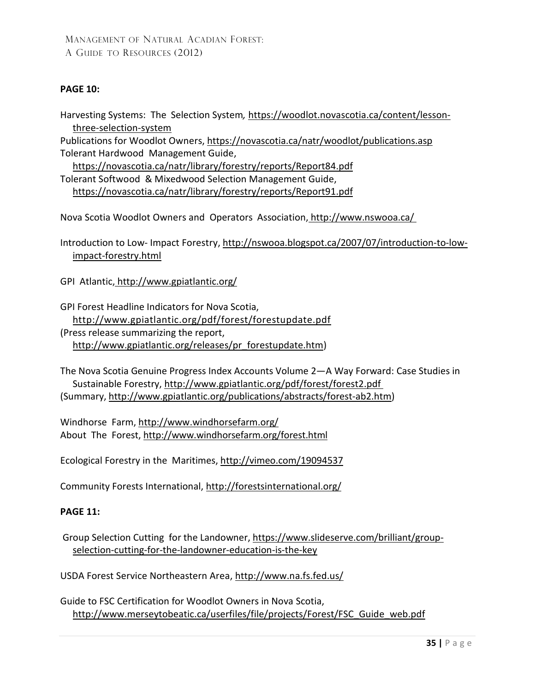### **PAGE 10:**

Harvesting Systems: The Selection System*,* [https://woodlot.novascotia.ca/content/lesson](https://woodlot.novascotia.ca/content/lesson-three-selection-system)[three-selection-system](https://woodlot.novascotia.ca/content/lesson-three-selection-system)

Publications for Woodlot Owners,<https://novascotia.ca/natr/woodlot/publications.asp> Tolerant Hardwood Management Guide,

<https://novascotia.ca/natr/library/forestry/reports/Report84.pdf> Tolerant Softwood & Mixedwood Selection Management Guide, <https://novascotia.ca/natr/library/forestry/reports/Report91.pdf>

Nova Scotia Woodlot Owners and Operators Association, <http://www.nswooa.ca/>

Introduction to Low- Impact Forestry, [http://nswooa.blogspot.ca/2007/07/introduction-to-low](http://nswooa.blogspot.ca/2007/07/introduction-to-low-impact-forestry.html)[impact-forestry.html](http://nswooa.blogspot.ca/2007/07/introduction-to-low-impact-forestry.html)

GPI Atlantic, <http://www.gpiatlantic.org/>

GPI Forest Headline Indicators for Nova Scotia, <http://www.gpiatlantic.org/pdf/forest/forestupdate.pdf> [\(Press release](http://www.gpiatlantic.org/releases/pr_forestupdate.htm) summarizing the report, [http://www.gpiatlantic.org/releases/pr\\_forestupdate.htm\)](http://www.gpiatlantic.org/releases/pr_forestupdate.htm)

The Nova Scotia Genuine Progress Index Accounts Volume 2—A Way Forward: Case Studies in Sustainable Forestry,<http://www.gpiatlantic.org/pdf/forest/forest2.pdf> (Summary, [http://www.gpiatlantic.org/publications/abstracts/forest-ab2.htm\)](http://www.gpiatlantic.org/publications/abstracts/forest-ab2.htm)

Windhorse Farm, <http://www.windhorsefarm.org/> About The Forest, <http://www.windhorsefarm.org/forest.html>

Ecological Forestry in the Maritimes,<http://vimeo.com/19094537>

Community Forests International[, http://forestsinternational.org/](http://forestsinternational.org/)

### **PAGE 11:**

Group Selection Cutting for the Landowner, [https://www.slideserve.com/brilliant/group](https://www.slideserve.com/brilliant/group-selection-cutting-for-the-landowner-education-is-the-key)[selection-cutting-for-the-landowner-education-is-the-key](https://www.slideserve.com/brilliant/group-selection-cutting-for-the-landowner-education-is-the-key)

USDA Forest Service Northeastern Area, <http://www.na.fs.fed.us/>

Guide to FSC Certification for Woodlot Owners in Nova Scotia, [http://www.merseytobeatic.ca/userfiles/file/projects/Forest/FSC\\_Guide\\_web.pdf](http://www.merseytobeatic.ca/userfiles/file/projects/Forest/FSC_Guide_web.pdf)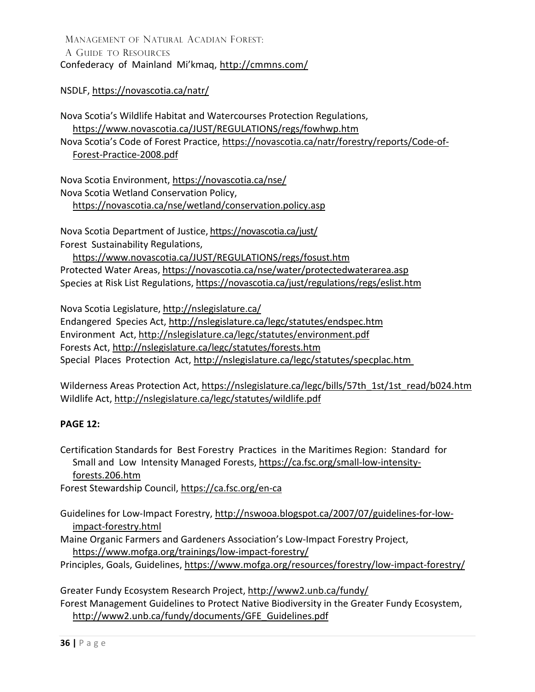MANAGEMENT OF NATURAL ACADIAN FOREST: A GUIDE TO RESOURCES Confederacy of Mainland Mi'kmaq,<http://cmmns.com/>

NSDLF,<https://novascotia.ca/natr/>

Nova Scotia's Wildlife [Habitat and Watercourses P](http://www.gov.ns.ca/natr/wildlife/habitats/protection/)rotection Regulations, <https://www.novascotia.ca/JUST/REGULATIONS/regs/fowhwp.htm> Nova Scotia's Code of Forest Practice, [https://novascotia.ca/natr/forestry/reports/Code-of-](https://novascotia.ca/natr/forestry/reports/Code-of-Forest-Practice-2008.pdf)[Forest-Practice-2008.pdf](https://novascotia.ca/natr/forestry/reports/Code-of-Forest-Practice-2008.pdf)

Nova Scotia Environment,<https://novascotia.ca/nse/> Nova Scotia Wetland Conservation Policy, <https://novascotia.ca/nse/wetland/conservation.policy.asp>

Nova Scotia Department of Justice[, https://novascotia.ca/just/](https://novascotia.ca/just/) Forest Sustainability Regulations,

<https://www.novascotia.ca/JUST/REGULATIONS/regs/fosust.htm> Protected Water Areas,<https://novascotia.ca/nse/water/protectedwaterarea.asp> Species at Risk List Regulations,<https://novascotia.ca/just/regulations/regs/eslist.htm>

Nova Scotia Legislature[, http://nslegislature.ca/](http://nslegislature.ca/) Endangered Species Act,<http://nslegislature.ca/legc/statutes/endspec.htm> Environment Act, <http://nslegislature.ca/legc/statutes/environment.pdf> Forests Act,<http://nslegislature.ca/legc/statutes/forests.htm> Special Places Protection Act,<http://nslegislature.ca/legc/statutes/specplac.htm>

Wilderness Areas Protection [Act,](http://nslegislature.ca/legc/statutes/wildarea.htm) [https://nslegislature.ca/legc/bills/57th\\_1st/1st\\_read/b024.htm](https://nslegislature.ca/legc/bills/57th_1st/1st_read/b024.htm) Wildlife Act,<http://nslegislature.ca/legc/statutes/wildlife.pdf>

### **PAGE 12:**

Certification Standards for Best Forestry Practices in the [Maritimes Region: Standard](https://ca.fsc.org/small-low-intensity-forests.206.htm) for [Small and](https://ca.fsc.org/small-low-intensity-forests.206.htm) Low Intensity Managed Forests, [https://ca.fsc.org/small-low-intensity](https://ca.fsc.org/small-low-intensity-forests.206.htm)[forests.206.htm](https://ca.fsc.org/small-low-intensity-forests.206.htm)

Forest Stewardship Council,<https://ca.fsc.org/en-ca>

Guidelines for Low-Impact Forestry, [http://nswooa.blogspot.ca/2007/07/guidelines-for-low](http://nswooa.blogspot.ca/2007/07/guidelines-for-low-impact-forestry.html)[impact-forestry.html](http://nswooa.blogspot.ca/2007/07/guidelines-for-low-impact-forestry.html)

Maine Organic Farmers and Gardeners Association's Low-Impact Forestry Project, <https://www.mofga.org/trainings/low-impact-forestry/>

Principles, Goals, Guidelines, <https://www.mofga.org/resources/forestry/low-impact-forestry/>

Greater Fundy Ecosystem Research Project,<http://www2.unb.ca/fundy/>

Forest Management Guidelines to Protect Native Biodiversity in the Greater Fundy Ecosystem, [http://www2.unb.ca/fundy/documents/GFE\\_Guidelines.pdf](http://www2.unb.ca/fundy/documents/GFE_Guidelines.pdf)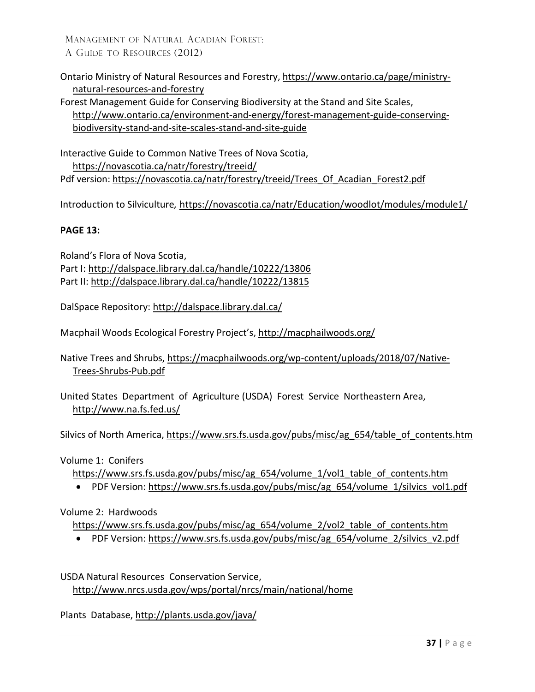Ontario Ministry of Natural Resources and Forestry, [https://www.ontario.ca/page/ministry](https://www.ontario.ca/page/ministry-natural-resources-and-forestry)[natural-resources-and-forestry](https://www.ontario.ca/page/ministry-natural-resources-and-forestry)

Forest Management Guide for Conserving Biodiversity at the Stand and Site Scales, [http://www.ontario.ca/environment-and-energy/forest-management-guide-conserving](http://www.ontario.ca/environment-and-energy/forest-management-guide-conserving-biodiversity-stand-and-site-scales-stand-and-site-guide)[biodiversity-stand-and-site-scales-stand-and-site-guide](http://www.ontario.ca/environment-and-energy/forest-management-guide-conserving-biodiversity-stand-and-site-scales-stand-and-site-guide)

Interactive Guide to Common Native Trees of Nova Scotia, <https://novascotia.ca/natr/forestry/treeid/> Pdf version: [https://novascotia.ca/natr/forestry/treeid/Trees\\_Of\\_Acadian\\_Forest2.pdf](https://novascotia.ca/natr/forestry/treeid/Trees_Of_Acadian_Forest2.pdf)

Introduction to Silviculture*,* <https://novascotia.ca/natr/Education/woodlot/modules/module1/>

### **PAGE 13:**

Roland's Flora of Nova Scotia, Part I:<http://dalspace.library.dal.ca/handle/10222/13806> Part II:<http://dalspace.library.dal.ca/handle/10222/13815>

DalSpace Repository:<http://dalspace.library.dal.ca/>

Macphail Woods Ecological Forestry Project's,<http://macphailwoods.org/>

Native Trees and Shrubs, [https://macphailwoods.org/wp-content/uploads/2018/07/Native-](https://macphailwoods.org/wp-content/uploads/2018/07/Native-Trees-Shrubs-Pub.pdf)[Trees-Shrubs-Pub.pdf](https://macphailwoods.org/wp-content/uploads/2018/07/Native-Trees-Shrubs-Pub.pdf)

United States Department of Agriculture (USDA) Forest Service Northeastern Area, <http://www.na.fs.fed.us/>

Silvics of North America, [https://www.srs.fs.usda.gov/pubs/misc/ag\\_654/table\\_of\\_contents.htm](https://www.srs.fs.usda.gov/pubs/misc/ag_654/table_of_contents.htm)

Volume 1: Conifers

[https://www.srs.fs.usda.gov/pubs/misc/ag\\_654/volume\\_1/vol1\\_table\\_of\\_contents.htm](https://www.srs.fs.usda.gov/pubs/misc/ag_654/volume_1/vol1_table_of_contents.htm)

• PDF Version: [https://www.srs.fs.usda.gov/pubs/misc/ag\\_654/volume\\_1/silvics\\_vol1.pdf](https://www.srs.fs.usda.gov/pubs/misc/ag_654/volume_1/silvics_vol1.pdf)

#### Volume 2: Hardwoods

[https://www.srs.fs.usda.gov/pubs/misc/ag\\_654/volume\\_2/vol2\\_table\\_of\\_contents.htm](https://www.srs.fs.usda.gov/pubs/misc/ag_654/volume_2/vol2_table_of_contents.htm)

• PDF Version: [https://www.srs.fs.usda.gov/pubs/misc/ag\\_654/volume\\_2/silvics\\_v2.pdf](https://www.srs.fs.usda.gov/pubs/misc/ag_654/volume_2/silvics_v2.pdf)

USDA Natural Resources Conservation Service, <http://www.nrcs.usda.gov/wps/portal/nrcs/main/national/home>

Plants Database,<http://plants.usda.gov/java/>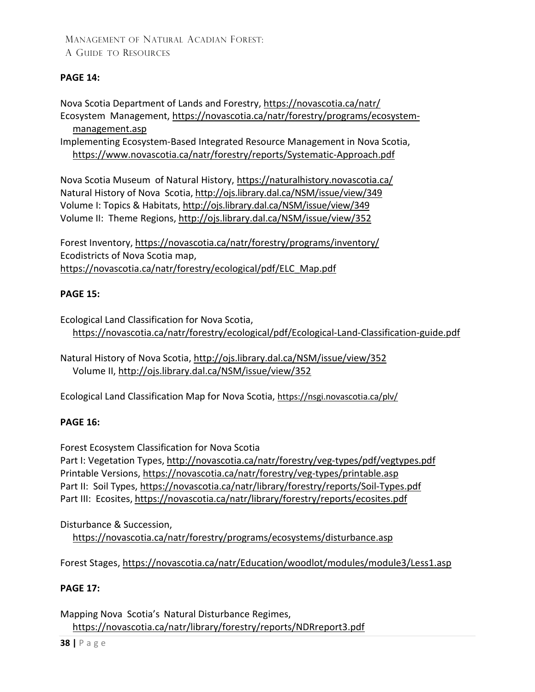### **PAGE 14:**

Nova Scotia Department of Lands and Forestry,<https://novascotia.ca/natr/> Ecosystem Management, [https://novascotia.ca/natr/forestry/programs/ecosystem-](https://novascotia.ca/natr/forestry/programs/ecosystem-management.asp)

[management.asp](https://novascotia.ca/natr/forestry/programs/ecosystem-management.asp)

Implementing Ecosystem-Based Integrated Resource Management in Nova Scotia, <https://www.novascotia.ca/natr/forestry/reports/Systematic-Approach.pdf>

[Nova](http://museum.gov.ns.ca/mnhnew/en/home/default.aspx) Scotia Museum of Natural History, <https://naturalhistory.novascotia.ca/> Natural History of Nova Scotia[, http://ojs.library.dal.ca/NSM/issue/view/349](http://ojs.library.dal.ca/NSM/issue/view/349)  [Volume](http://museum.gov.ns.ca/mnh/nature/nhns/index.htm) I: Topics & Habitats,<http://ojs.library.dal.ca/NSM/issue/view/349> Volume II: Theme Regions,<http://ojs.library.dal.ca/NSM/issue/view/352>

Forest Inventory[, https://novascotia.ca/natr/forestry/programs/inventory/](https://novascotia.ca/natr/forestry/programs/inventory/) Ecodistricts of Nova Scotia map, [https://novascotia.ca/natr/forestry/ecological/pdf/ELC\\_Map.pdf](https://novascotia.ca/natr/forestry/ecological/pdf/ELC_Map.pdf)

### **PAGE 15:**

Ecological Land Classification for Nova Scotia, <https://novascotia.ca/natr/forestry/ecological/pdf/Ecological-Land-Classification-guide.pdf>

Natural History of Nova Scotia, <http://ojs.library.dal.ca/NSM/issue/view/352> Volume II,<http://ojs.library.dal.ca/NSM/issue/view/352>

Ecological Land Classification Map for Nova Scotia,<https://nsgi.novascotia.ca/plv/>

### **PAGE 16:**

Forest Ecosystem Classification for Nova Scotia Part I: Vegetation Types,<http://novascotia.ca/natr/forestry/veg-types/pdf/vegtypes.pdf> Printable Versions,<https://novascotia.ca/natr/forestry/veg-types/printable.asp> Part II: Soil Types, <https://novascotia.ca/natr/library/forestry/reports/Soil-Types.pdf> Part III: Ecosites, <https://novascotia.ca/natr/library/forestry/reports/ecosites.pdf>

Disturbance & Succession, <https://novascotia.ca/natr/forestry/programs/ecosystems/disturbance.asp>

Forest Stages, <https://novascotia.ca/natr/Education/woodlot/modules/module3/Less1.asp>

### **PAGE 17:**

Mapping Nova Scotia's Natural Disturbance Regimes, <https://novascotia.ca/natr/library/forestry/reports/NDRreport3.pdf>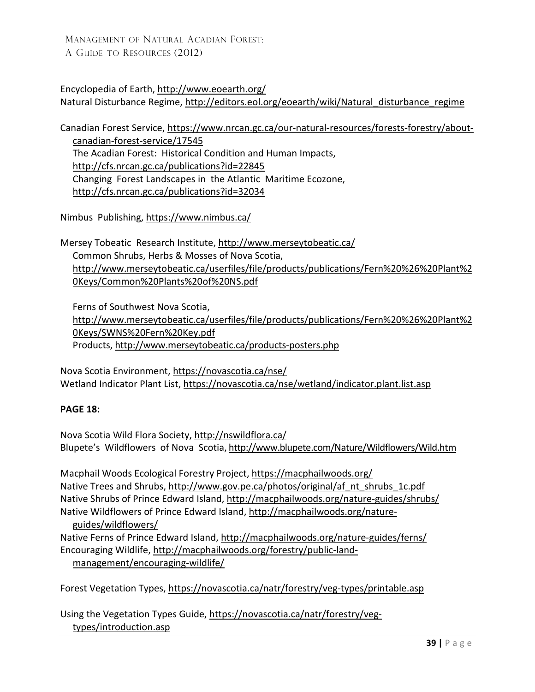Encyclopedia of Earth,<http://www.eoearth.org/> Natural Disturbance Regime, [http://editors.eol.org/eoearth/wiki/Natural\\_disturbance\\_regime](http://editors.eol.org/eoearth/wiki/Natural_disturbance_regime)

Canadian Forest Service, [https://www.nrcan.gc.ca/our-natural-resources/forests-forestry/about-](https://www.nrcan.gc.ca/our-natural-resources/forests-forestry/about-canadian-forest-service/17545)

[canadian-forest-service/17545](https://www.nrcan.gc.ca/our-natural-resources/forests-forestry/about-canadian-forest-service/17545) The Acadian Forest: Historical Condition and Human Impacts, <http://cfs.nrcan.gc.ca/publications?id=22845> Changing Forest Landscapes in the Atlantic Maritime Ecozone, <http://cfs.nrcan.gc.ca/publications?id=32034>

Nimbus Publishing,<https://www.nimbus.ca/>

Mersey Tobeatic Research Institute, <http://www.merseytobeatic.ca/> Common Shrubs, Herbs & Mosses of Nova Scotia, [http://www.merseytobeatic.ca/userfiles/file/products/publications/Fern%20%26%20Plant%2](http://www.merseytobeatic.ca/userfiles/file/products/publications/Fern%20%26%20Plant%20Keys/Common%20Plants%20of%20NS.pdf) [0Keys/Common%20Plants%20of%20NS.pdf](http://www.merseytobeatic.ca/userfiles/file/products/publications/Fern%20%26%20Plant%20Keys/Common%20Plants%20of%20NS.pdf)

Ferns of Southwest Nova Scotia, [http://www.merseytobeatic.ca/userfiles/file/products/publications/Fern%20%26%20Plant%2](http://www.merseytobeatic.ca/userfiles/file/products/publications/Fern%20%26%20Plant%20Keys/SWNS%20Fern%20Key.pdf) [0Keys/SWNS%20Fern%20Key.pdf](http://www.merseytobeatic.ca/userfiles/file/products/publications/Fern%20%26%20Plant%20Keys/SWNS%20Fern%20Key.pdf) Products[, http://www.merseytobeatic.ca/products-posters.php](http://www.merseytobeatic.ca/products-posters.php)

Nova Scotia Environment,<https://novascotia.ca/nse/> Wetland Indicator Plant List, <https://novascotia.ca/nse/wetland/indicator.plant.list.asp>

### **PAGE 18:**

Nova Scotia Wild Flora Society,<http://nswildflora.ca/> Blupete's Wildflowers of Nova Scotia,<http://www.blupete.com/Nature/Wildflowers/Wild.htm>

Macphail Woods Ecological Forestry Project,<https://macphailwoods.org/> Native Trees and Shrubs, [http://www.gov.pe.ca/photos/original/af\\_nt\\_shrubs\\_1c.pdf](http://www.gov.pe.ca/photos/original/af_nt_shrubs_1c.pdf) Native Shrubs of Prince Edward Island,<http://macphailwoods.org/nature-guides/shrubs/> Native Wildflowers of Prince Edward Island, [http://macphailwoods.org/nature-](http://macphailwoods.org/nature-guides/wildflowers/)

[guides/wildflowers/](http://macphailwoods.org/nature-guides/wildflowers/)

Native Ferns of Prince Edward Island, http://macphailwoods.org/nature-guides/ferns/ Encouraging Wildlife, [http://macphailwoods.org/forestry/public-land](http://macphailwoods.org/forestry/public-land-management/encouraging-wildlife/)[management/encouraging-wildlife/](http://macphailwoods.org/forestry/public-land-management/encouraging-wildlife/)

Forest [Vegetation Types,](http://www.gov.ns.ca/natr/forestry/veg-types/printable.asp)<https://novascotia.ca/natr/forestry/veg-types/printable.asp>

Using the Vegetation Types Guide, [https://novascotia.ca/natr/forestry/veg](https://novascotia.ca/natr/forestry/veg-types/introduction.asp)[types/introduction.asp](https://novascotia.ca/natr/forestry/veg-types/introduction.asp)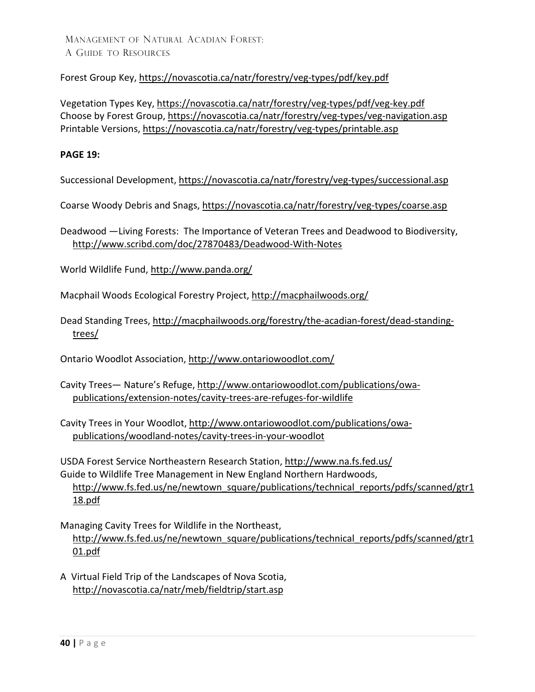### Forest Group Key,<https://novascotia.ca/natr/forestry/veg-types/pdf/key.pdf>

Vegetation Types Key,<https://novascotia.ca/natr/forestry/veg-types/pdf/veg-key.pdf> Choose by Forest Group, <https://novascotia.ca/natr/forestry/veg-types/veg-navigation.asp> Printable Versions,<https://novascotia.ca/natr/forestry/veg-types/printable.asp>

#### **PAGE 19:**

Successional Development[, https://novascotia.ca/natr/forestry/veg-types/successional.asp](https://novascotia.ca/natr/forestry/veg-types/successional.asp)

Coarse Woody Debris and Snags,<https://novascotia.ca/natr/forestry/veg-types/coarse.asp>

Deadwood —Living Forests: The [Importance of Veteran](http://www.scribd.com/doc/27870483/Deadwood-With-Notes) Trees and Deadwood to Biodiversity, <http://www.scribd.com/doc/27870483/Deadwood-With-Notes>

World Wildlife Fund,<http://www.panda.org/>

Macphail Woods Ecological Forestry Project,<http://macphailwoods.org/>

Dead Standing Trees, [http://macphailwoods.org/forestry/the-acadian-forest/dead-standing](http://macphailwoods.org/forestry/the-acadian-forest/dead-standing-trees/)[trees/](http://macphailwoods.org/forestry/the-acadian-forest/dead-standing-trees/)

Ontario Woodlot Association,<http://www.ontariowoodlot.com/>

Cavity Trees— Nature's Refuge, [http://www.ontariowoodlot.com/publications/owa](http://www.ontariowoodlot.com/publications/owa-publications/extension-notes/cavity-trees-are-refuges-for-wildlife)[publications/extension-notes/cavity-trees-are-refuges-for-wildlife](http://www.ontariowoodlot.com/publications/owa-publications/extension-notes/cavity-trees-are-refuges-for-wildlife)

Cavity Trees in Your Woodlot, [http://www.ontariowoodlot.com/publications/owa](http://www.ontariowoodlot.com/publications/owa-publications/woodland-notes/cavity-trees-in-your-woodlot)[publications/woodland-notes/cavity-trees-in-your-woodlot](http://www.ontariowoodlot.com/publications/owa-publications/woodland-notes/cavity-trees-in-your-woodlot)

USDA Forest Service Northeastern Research Station,<http://www.na.fs.fed.us/> Guide to Wildlife Tree Management in New England Northern Hardwoods,

[http://www.fs.fed.us/ne/newtown\\_square/publications/technical\\_reports/pdfs/scanned/gtr1](http://www.fs.fed.us/ne/newtown_square/publications/technical_reports/pdfs/scanned/gtr118.pdf) [18.pdf](http://www.fs.fed.us/ne/newtown_square/publications/technical_reports/pdfs/scanned/gtr118.pdf) 

Managing Cavity Trees for Wildlife in the Northeast, [http://www.fs.fed.us/ne/newtown\\_square/publications/technical\\_reports/pdfs/scanned/gtr1](http://www.fs.fed.us/ne/newtown_square/publications/technical_reports/pdfs/scanned/gtr101.pdf) [01.pdf](http://www.fs.fed.us/ne/newtown_square/publications/technical_reports/pdfs/scanned/gtr101.pdf)

A Virtual Field Trip of the Landscapes of Nova Scotia, <http://novascotia.ca/natr/meb/fieldtrip/start.asp>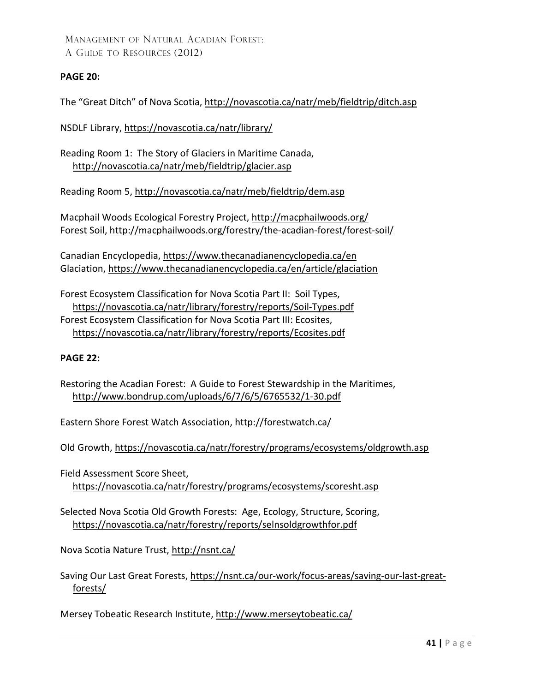### **PAGE 20:**

The "Great Ditch" of Nova Scotia,<http://novascotia.ca/natr/meb/fieldtrip/ditch.asp>

NSDLF Library,<https://novascotia.ca/natr/library/>

Reading Room 1: The Story of Glaciers in Maritime Canada, <http://novascotia.ca/natr/meb/fieldtrip/glacier.asp>

Reading Room 5,<http://novascotia.ca/natr/meb/fieldtrip/dem.asp>

Macphail Woods Ecological Forestry Project,<http://macphailwoods.org/> Forest Soil,<http://macphailwoods.org/forestry/the-acadian-forest/forest-soil/>

Canadian Encyclopedia[, https://www.thecanadianencyclopedia.ca/en](https://www.thecanadianencyclopedia.ca/en) Glaciation,<https://www.thecanadianencyclopedia.ca/en/article/glaciation>

Forest Ecosystem Classification for Nova Scotia Part II: Soil Types, <https://novascotia.ca/natr/library/forestry/reports/Soil-Types.pdf> Forest Ecosystem Classification for Nova Scotia Part III: Ecosites, <https://novascotia.ca/natr/library/forestry/reports/Ecosites.pdf>

#### **PAGE 22:**

Restoring the Acadian Forest: A Guide to Forest Stewardship in the Maritimes, <http://www.bondrup.com/uploads/6/7/6/5/6765532/1-30.pdf>

Eastern Shore Forest Watch Association,<http://forestwatch.ca/>

Old Growth,<https://novascotia.ca/natr/forestry/programs/ecosystems/oldgrowth.asp>

Field Assessment Score Sheet, <https://novascotia.ca/natr/forestry/programs/ecosystems/scoresht.asp>

Selected Nova Scotia Old Growth Forests: Age, Ecology, Structure, Scoring, <https://novascotia.ca/natr/forestry/reports/selnsoldgrowthfor.pdf>

Nova Scotia Nature Trust,<http://nsnt.ca/>

Saving Our Last Great Forests, [https://nsnt.ca/our-work/focus-areas/saving-our-last-great](https://nsnt.ca/our-work/focus-areas/saving-our-last-great-forests/)[forests/](https://nsnt.ca/our-work/focus-areas/saving-our-last-great-forests/)

Mersey Tobeatic Research Institute,<http://www.merseytobeatic.ca/>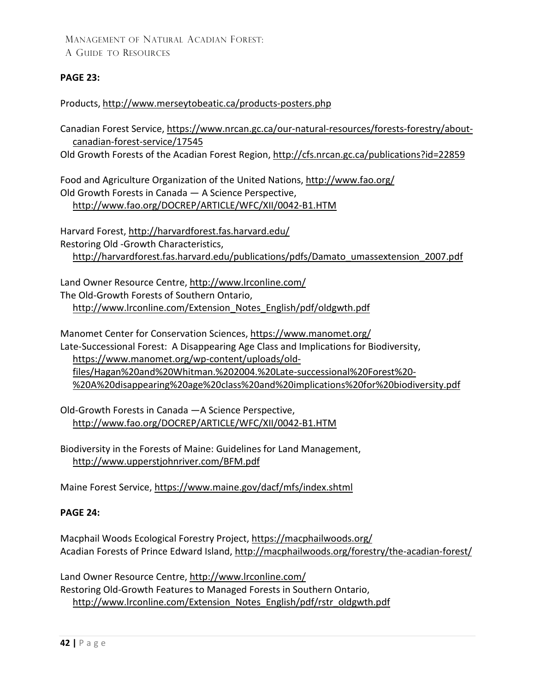### **PAGE 23:**

Products, <http://www.merseytobeatic.ca/products-posters.php>

Canadian Forest Service, [https://www.nrcan.gc.ca/our-natural-resources/forests-forestry/about](https://www.nrcan.gc.ca/our-natural-resources/forests-forestry/about-canadian-forest-service/17545)[canadian-forest-service/17545](https://www.nrcan.gc.ca/our-natural-resources/forests-forestry/about-canadian-forest-service/17545)

Old Growth Forests of the Acadian Forest Region,<http://cfs.nrcan.gc.ca/publications?id=22859>

Food and Agriculture Organization of the United Nations,<http://www.fao.org/> Old Growth Forests in Canada — A Science Perspective, <http://www.fao.org/DOCREP/ARTICLE/WFC/XII/0042-B1.HTM>

Harvard Forest,<http://harvardforest.fas.harvard.edu/> Restoring Old -Growth Characteristics, [http://harvardforest.fas.harvard.edu/publications/pdfs/Damato\\_umassextension\\_2007.pdf](http://harvardforest.fas.harvard.edu/publications/pdfs/Damato_umassextension_2007.pdf) 

Land Owner Resource Centre,<http://www.lrconline.com/> The Old-Growth Forests of Southern Ontario, [http://www.lrconline.com/Extension\\_Notes\\_English/pdf/oldgwth.pdf](http://www.lrconline.com/Extension_Notes_English/pdf/oldgwth.pdf) 

Manomet Center for Conservation Sciences[, https://www.manomet.org/](https://www.manomet.org/) Late-Successional Forest: A Disappearing Age Class and Implications for Biodiversity, [https://www.manomet.org/wp-content/uploads/old](https://www.manomet.org/wp-content/uploads/old-files/Hagan%20and%20Whitman.%202004.%20Late-successional%20Forest%20-%20A%20disappearing%20age%20class%20and%20implications%20for%20biodiversity.pdf)[files/Hagan%20and%20Whitman.%202004.%20Late-successional%20Forest%20-](https://www.manomet.org/wp-content/uploads/old-files/Hagan%20and%20Whitman.%202004.%20Late-successional%20Forest%20-%20A%20disappearing%20age%20class%20and%20implications%20for%20biodiversity.pdf) [%20A%20disappearing%20age%20class%20and%20implications%20for%20biodiversity.pdf](https://www.manomet.org/wp-content/uploads/old-files/Hagan%20and%20Whitman.%202004.%20Late-successional%20Forest%20-%20A%20disappearing%20age%20class%20and%20implications%20for%20biodiversity.pdf)

Old-Growth Forests in Canada —A Science Perspective, <http://www.fao.org/DOCREP/ARTICLE/WFC/XII/0042-B1.HTM>

Biodiversity in the Forests of Maine: Guidelines for Land Management, <http://www.upperstjohnriver.com/BFM.pdf>

Maine Forest Service,<https://www.maine.gov/dacf/mfs/index.shtml>

#### **PAGE 24:**

Macphail Woods Ecological Forestry Project,<https://macphailwoods.org/> Acadian Forests of Prince Edward Island,<http://macphailwoods.org/forestry/the-acadian-forest/>

Land Owner Resource Centre,<http://www.lrconline.com/> Restoring Old-Growth Features to Managed Forests in Southern Ontario, [http://www.lrconline.com/Extension\\_Notes\\_English/pdf/rstr\\_oldgwth.pdf](http://www.lrconline.com/Extension_Notes_English/pdf/rstr_oldgwth.pdf)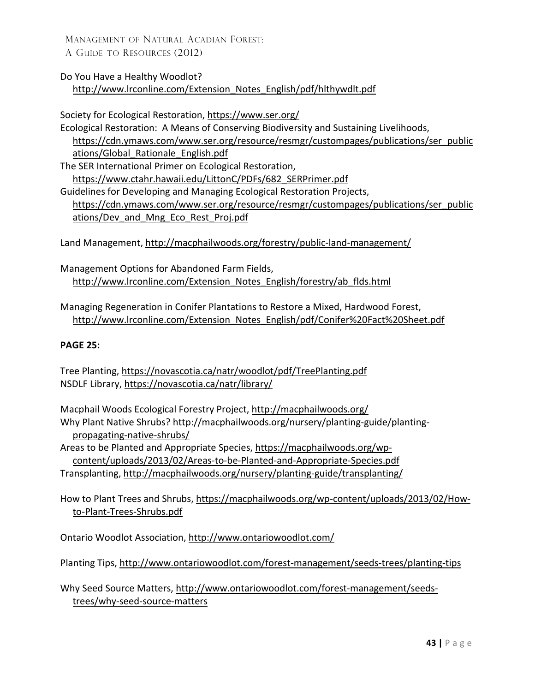Do You Have a Healthy Woodlot?

[http://www.lrconline.com/Extension\\_Notes\\_English/pdf/hlthywdlt.pdf](http://www.lrconline.com/Extension_Notes_English/pdf/hlthywdlt.pdf) 

Society for Ecological Restoration,<https://www.ser.org/>

Ecological Restoration: A Means of Conserving Biodiversity and Sustaining Livelihoods, [https://cdn.ymaws.com/www.ser.org/resource/resmgr/custompages/publications/ser\\_public](https://cdn.ymaws.com/www.ser.org/resource/resmgr/custompages/publications/ser_publications/Global_Rationale_English.pdf) [ations/Global\\_Rationale\\_English.pdf](https://cdn.ymaws.com/www.ser.org/resource/resmgr/custompages/publications/ser_publications/Global_Rationale_English.pdf) The SER International Primer on Ecological Restoration, [https://www.ctahr.hawaii.edu/LittonC/PDFs/682\\_SERPrimer.pdf](https://www.ctahr.hawaii.edu/LittonC/PDFs/682_SERPrimer.pdf) Guidelines for Developing and Managing Ecological Restoration Projects, [https://cdn.ymaws.com/www.ser.org/resource/resmgr/custompages/publications/ser\\_public](https://cdn.ymaws.com/www.ser.org/resource/resmgr/custompages/publications/ser_publications/Dev_and_Mng_Eco_Rest_Proj.pdf) [ations/Dev\\_and\\_Mng\\_Eco\\_Rest\\_Proj.pdf](https://cdn.ymaws.com/www.ser.org/resource/resmgr/custompages/publications/ser_publications/Dev_and_Mng_Eco_Rest_Proj.pdf)

Land Management,<http://macphailwoods.org/forestry/public-land-management/>

Management Options for Abandoned Farm Fields, [http://www.lrconline.com/Extension\\_Notes\\_English/forestry/ab\\_flds.html](http://www.lrconline.com/Extension_Notes_English/forestry/ab_flds.html)

Managing Regeneration in Conifer Plantations to Restore a Mixed, Hardwood Forest, [http://www.lrconline.com/Extension\\_Notes\\_English/pdf/Conifer%20Fact%20Sheet.pdf](http://www.lrconline.com/Extension_Notes_English/pdf/Conifer%20Fact%20Sheet.pdf)

### **PAGE 25:**

Tree Planting,<https://novascotia.ca/natr/woodlot/pdf/TreePlanting.pdf> NSDLF Library,<https://novascotia.ca/natr/library/>

Macphail Woods Ecological Forestry Project,<http://macphailwoods.org/> Why Plant Native Shrubs? [http://macphailwoods.org/nursery/planting-guide/planting](http://macphailwoods.org/nursery/planting-guide/planting-propagating-native-shrubs/)[propagating-native-shrubs/](http://macphailwoods.org/nursery/planting-guide/planting-propagating-native-shrubs/)

Areas to be Planted and Appropriate Species, [https://macphailwoods.org/wp](https://macphailwoods.org/wp-content/uploads/2013/02/Areas-to-be-Planted-and-Appropriate-Species.pdf)[content/uploads/2013/02/Areas-to-be-Planted-and-Appropriate-Species.pdf](https://macphailwoods.org/wp-content/uploads/2013/02/Areas-to-be-Planted-and-Appropriate-Species.pdf)

Transplanting,<http://macphailwoods.org/nursery/planting-guide/transplanting/>

How to Plant Trees and Shrubs, [https://macphailwoods.org/wp-content/uploads/2013/02/How](https://macphailwoods.org/wp-content/uploads/2013/02/How-to-Plant-Trees-Shrubs.pdf)[to-Plant-Trees-Shrubs.pdf](https://macphailwoods.org/wp-content/uploads/2013/02/How-to-Plant-Trees-Shrubs.pdf)

Ontario Woodlot Association,<http://www.ontariowoodlot.com/>

Planting Tips,<http://www.ontariowoodlot.com/forest-management/seeds-trees/planting-tips>

Why Seed Source Matters, [http://www.ontariowoodlot.com/forest-management/seeds](http://www.ontariowoodlot.com/forest-management/seeds-trees/why-seed-source-matters)[trees/why-seed-source-matters](http://www.ontariowoodlot.com/forest-management/seeds-trees/why-seed-source-matters)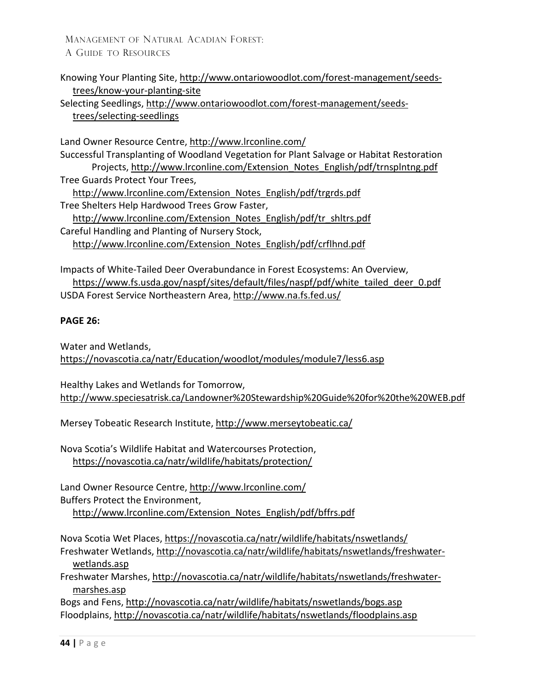Knowing Your Planting Site[, http://www.ontariowoodlot.com/forest-management/seeds](http://www.ontariowoodlot.com/forest-management/seeds-trees/know-your-planting-site)[trees/know-your-planting-site](http://www.ontariowoodlot.com/forest-management/seeds-trees/know-your-planting-site)

Selecting Seedlings, [http://www.ontariowoodlot.com/forest-management/seeds](http://www.ontariowoodlot.com/forest-management/seeds-trees/selecting-seedlings)[trees/selecting-seedlings](http://www.ontariowoodlot.com/forest-management/seeds-trees/selecting-seedlings)

Land Owner Resource Centre,<http://www.lrconline.com/> Successful Transplanting of Woodland Vegetation for Plant Salvage or Habitat [Restoration](http://www.lrconline.com/Extension_Notes_English/pdf/trnsplntng.pdf)  Projects, [http://www.lrconline.com/Extension\\_Notes\\_English/pdf/trnsplntng.pdf](http://www.lrconline.com/Extension_Notes_English/pdf/trnsplntng.pdf) Tree Guards Protect Your Trees, [http://www.lrconline.com/Extension\\_Notes\\_English/pdf/trgrds.pdf](http://www.lrconline.com/Extension_Notes_English/pdf/trgrds.pdf) Tree Shelters Help Hardwood Trees Grow Faster, [http://www.lrconline.com/Extension\\_Notes\\_English/pdf/tr\\_shltrs.pdf](http://www.lrconline.com/Extension_Notes_English/pdf/tr_shltrs.pdf) Careful Handling and Planting of Nursery Stock, [http://www.lrconline.com/Extension\\_Notes\\_English/pdf/crflhnd.pdf](http://www.lrconline.com/Extension_Notes_English/pdf/crflhnd.pdf)

Impacts of White-Tailed Deer Overabundance in Forest Ecosystems: An Overview, [https://www.fs.usda.gov/naspf/sites/default/files/naspf/pdf/white\\_tailed\\_deer\\_0.pdf](https://www.fs.usda.gov/naspf/sites/default/files/naspf/pdf/white_tailed_deer_0.pdf) USDA Forest Service Northeastern Area,<http://www.na.fs.fed.us/>

### **PAGE 26:**

Water and Wetlands, <https://novascotia.ca/natr/Education/woodlot/modules/module7/less6.asp>

Healthy Lakes and Wetlands for Tomorrow, <http://www.speciesatrisk.ca/Landowner%20Stewardship%20Guide%20for%20the%20WEB.pdf>

Mersey Tobeatic Research Institute,<http://www.merseytobeatic.ca/>

Nova Scotia's Wildlife Habitat and Watercourses Protection, <https://novascotia.ca/natr/wildlife/habitats/protection/>

Land Owner Resource Centre,<http://www.lrconline.com/> Buffers Protect the Environment, [http://www.lrconline.com/Extension\\_Notes\\_English/pdf/bffrs.pdf](http://www.lrconline.com/Extension_Notes_English/pdf/bffrs.pdf) 

Nova Scotia Wet Places,<https://novascotia.ca/natr/wildlife/habitats/nswetlands/>

Freshwater Wetlands, [http://novascotia.ca/natr/wildlife/habitats/nswetlands/freshwater](http://novascotia.ca/natr/wildlife/habitats/nswetlands/freshwater-wetlands.asp)[wetlands.asp](http://novascotia.ca/natr/wildlife/habitats/nswetlands/freshwater-wetlands.asp) 

Freshwater Marshes, [http://novascotia.ca/natr/wildlife/habitats/nswetlands/freshwater](http://novascotia.ca/natr/wildlife/habitats/nswetlands/freshwater-marshes.asp)[marshes.asp](http://novascotia.ca/natr/wildlife/habitats/nswetlands/freshwater-marshes.asp) 

Bogs and Fens,<http://novascotia.ca/natr/wildlife/habitats/nswetlands/bogs.asp> Floodplains,<http://novascotia.ca/natr/wildlife/habitats/nswetlands/floodplains.asp>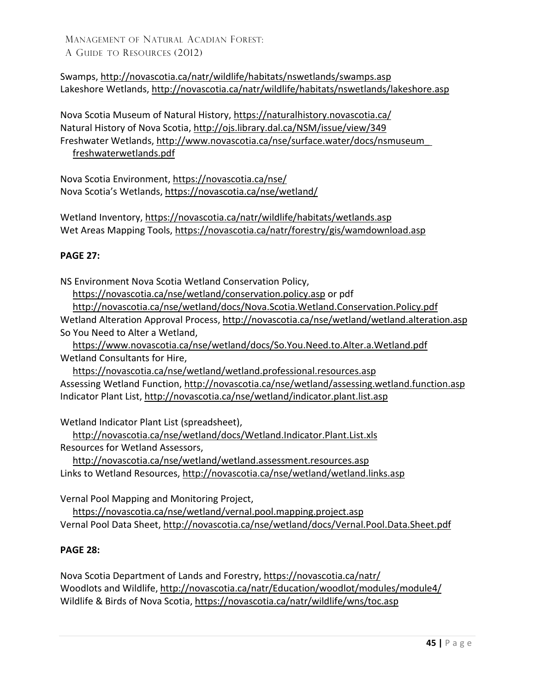Swamps,<http://novascotia.ca/natr/wildlife/habitats/nswetlands/swamps.asp> Lakeshore Wetlands,<http://novascotia.ca/natr/wildlife/habitats/nswetlands/lakeshore.asp>

Nova Scotia Museum of Natural History,<https://naturalhistory.novascotia.ca/> Natural History of Nova Scotia, http://ojs.library.dal.ca/NSM/issue/view/349 Freshwater Wetlands, [http://www.novascotia.ca/nse/surface.water/docs/nsmuseum\\_](http://www.novascotia.ca/nse/surface.water/docs/nsmuseum_freshwaterwetlands.pdf)  [freshwaterwetlands.pdf](http://www.novascotia.ca/nse/surface.water/docs/nsmuseum_freshwaterwetlands.pdf)

Nova Scotia Environment,<https://novascotia.ca/nse/> Nova Scotia's Wetlands,<https://novascotia.ca/nse/wetland/>

Wetland Inventory,<https://novascotia.ca/natr/wildlife/habitats/wetlands.asp> Wet Areas Mapping Tools,<https://novascotia.ca/natr/forestry/gis/wamdownload.asp>

### **PAGE 27:**

NS Environment Nova Scotia Wetland Conservation Policy,

<https://novascotia.ca/nse/wetland/conservation.policy.asp> or pdf

<http://novascotia.ca/nse/wetland/docs/Nova.Scotia.Wetland.Conservation.Policy.pdf> Wetland Alteration Approval Process,<http://novascotia.ca/nse/wetland/wetland.alteration.asp> So You Need to Alter a Wetland,

<https://www.novascotia.ca/nse/wetland/docs/So.You.Need.to.Alter.a.Wetland.pdf> Wetland Consultants for Hire,

<https://novascotia.ca/nse/wetland/wetland.professional.resources.asp> Assessing Wetland Function,<http://novascotia.ca/nse/wetland/assessing.wetland.function.asp> Indicator Plant List,<http://novascotia.ca/nse/wetland/indicator.plant.list.asp>

Wetland Indicator Plant List (spreadsheet),

<http://novascotia.ca/nse/wetland/docs/Wetland.Indicator.Plant.List.xls> Resources for Wetland Assessors,

<http://novascotia.ca/nse/wetland/wetland.assessment.resources.asp> Links to Wetland Resources,<http://novascotia.ca/nse/wetland/wetland.links.asp>

Vernal Pool Mapping and Monitoring Project,

<https://novascotia.ca/nse/wetland/vernal.pool.mapping.project.asp> Vernal Pool Data Sheet,<http://novascotia.ca/nse/wetland/docs/Vernal.Pool.Data.Sheet.pdf>

### **PAGE 28:**

Nova Scotia Department of Lands and Forestry, <https://novascotia.ca/natr/> Woodlots and Wildlife, <http://novascotia.ca/natr/Education/woodlot/modules/module4/> Wildlife & Birds of Nova Scotia,<https://novascotia.ca/natr/wildlife/wns/toc.asp>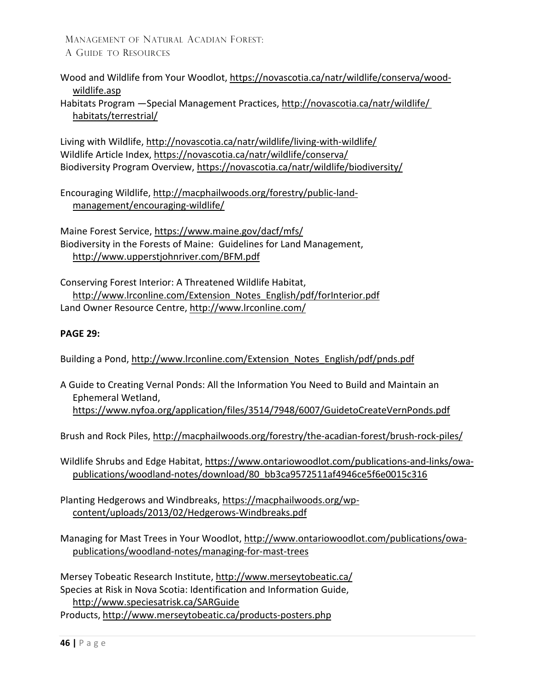Wood and Wildlife from Your Woodlot, [https://novascotia.ca/natr/wildlife/conserva/wood](https://novascotia.ca/natr/wildlife/conserva/wood-wildlife.asp)[wildlife.asp](https://novascotia.ca/natr/wildlife/conserva/wood-wildlife.asp)

Habitats Program —Special Management Practices, [http://novascotia.ca/natr/wildlife/](http://novascotia.ca/natr/wildlife/habitats/terrestrial/)  [habitats/terrestrial/](http://novascotia.ca/natr/wildlife/habitats/terrestrial/)

Living with Wildlife,<http://novascotia.ca/natr/wildlife/living-with-wildlife/> Wildlife Article Index,<https://novascotia.ca/natr/wildlife/conserva/> Biodiversity Program Overview,<https://novascotia.ca/natr/wildlife/biodiversity/>

Encouraging Wildlife, [http://macphailwoods.org/forestry/public-land](http://macphailwoods.org/forestry/public-land-management/encouraging-wildlife/)[management/encouraging-wildlife/](http://macphailwoods.org/forestry/public-land-management/encouraging-wildlife/)

Maine Forest Service,<https://www.maine.gov/dacf/mfs/> Biodiversity in the Forests of Maine: Guidelines for Land Management, <http://www.upperstjohnriver.com/BFM.pdf>

Conserving Forest Interior: A Threatened Wildlife Habitat, [http://www.lrconline.com/Extension\\_Notes\\_English/pdf/forInterior.pdf](http://www.lrconline.com/Extension_Notes_English/pdf/forInterior.pdf) Land Owner Resource Centre,<http://www.lrconline.com/>

### **PAGE 29:**

Building a Pond, http://www.lrconline.com/Extension\_Notes\_English/pdf/pnds.pdf

A Guide to Creating Vernal Ponds: All the Information You Need to Build and Maintain an Ephemeral Wetland, <https://www.nyfoa.org/application/files/3514/7948/6007/GuidetoCreateVernPonds.pdf>

Brush and Rock Piles,<http://macphailwoods.org/forestry/the-acadian-forest/brush-rock-piles/>

Wildlife Shrubs and Edge Habitat[, https://www.ontariowoodlot.com/publications-and-links/owa](https://www.ontariowoodlot.com/publications-and-links/owa-publications/woodland-notes/download/80_bb3ca9572511af4946ce5f6e0015c316)[publications/woodland-notes/download/80\\_bb3ca9572511af4946ce5f6e0015c316](https://www.ontariowoodlot.com/publications-and-links/owa-publications/woodland-notes/download/80_bb3ca9572511af4946ce5f6e0015c316)

Planting Hedgerows and Windbreaks, [https://macphailwoods.org/wp](https://macphailwoods.org/wp-content/uploads/2013/02/Hedgerows-Windbreaks.pdf)[content/uploads/2013/02/Hedgerows-Windbreaks.pdf](https://macphailwoods.org/wp-content/uploads/2013/02/Hedgerows-Windbreaks.pdf)

Managing for Mast Trees in Your Woodlot, [http://www.ontariowoodlot.com/publications/owa](http://www.ontariowoodlot.com/publications/owa-publications/woodland-notes/managing-for-mast-trees)[publications/woodland-notes/managing-for-mast-trees](http://www.ontariowoodlot.com/publications/owa-publications/woodland-notes/managing-for-mast-trees)

Mersey Tobeatic Research Institute,<http://www.merseytobeatic.ca/> Species at Risk in Nova Scotia: Identification and Information Guide, <http://www.speciesatrisk.ca/SARGuide> Products, <http://www.merseytobeatic.ca/products-posters.php>